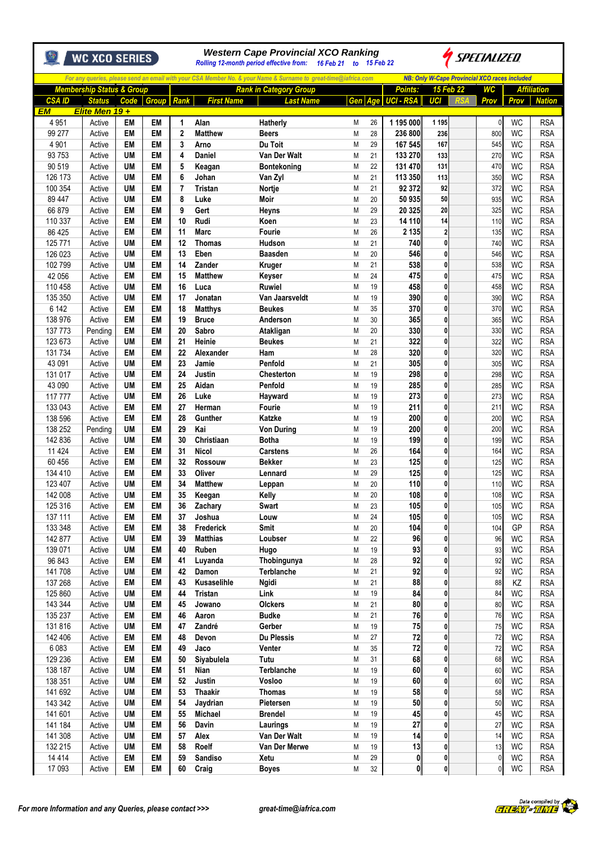|                      |                                      |                         | <b>WC XCO SERIES</b> |                 | <b>Western Cape Provincial XCO Ranking</b><br><i>SPECIALIZED</i><br>Rolling 12-month period effective from: 16 Feb 21 to 15 Feb 22 |                      |                               |        |          |                                         |                                                      |  |              |                        |                          |  |  |
|----------------------|--------------------------------------|-------------------------|----------------------|-----------------|------------------------------------------------------------------------------------------------------------------------------------|----------------------|-------------------------------|--------|----------|-----------------------------------------|------------------------------------------------------|--|--------------|------------------------|--------------------------|--|--|
|                      |                                      |                         |                      |                 | For any queries, please send an email with your CSA Member No. & your Name & Surname to great-time@iafrica.com                     |                      |                               |        |          |                                         | <b>NB: Only W-Cape Provincial XCO races included</b> |  |              |                        |                          |  |  |
|                      | <b>Membership Status &amp; Group</b> |                         |                      |                 |                                                                                                                                    |                      | <b>Rank in Category Group</b> |        |          | Points:                                 | 15 Feb 22                                            |  | WC           |                        | <b>Affiliation</b>       |  |  |
| <b>CSAID</b>         |                                      | <b>Status</b>           | Code                 | Group Rank      |                                                                                                                                    | <b>First Name</b>    | <b>Last Name</b>              |        |          | Gen Age UCI - RSA                       | UCI                                                  |  | Prov         | Prov                   | <b>Nation</b>            |  |  |
| <b>EM</b><br>4 9 5 1 |                                      | Elite Men 19+<br>Active | EM                   | EM              | 1                                                                                                                                  | Alan                 | Hatherly                      | М      | 26       | 1 195 000                               | 1 1 9 5                                              |  | $\mathbf{0}$ | <b>WC</b>              | <b>RSA</b>               |  |  |
| 99 277               |                                      | Active                  | EM                   | EM              | $\overline{2}$                                                                                                                     | <b>Matthew</b>       | <b>Beers</b>                  | М      | 28       | 236 800                                 | 236                                                  |  | 800          | <b>WC</b>              | <b>RSA</b>               |  |  |
| 4 9 0 1              |                                      | Active                  | EM                   | EM              | 3                                                                                                                                  | Arno                 | Du Toit                       | M      | 29       | 167 545                                 | 167                                                  |  | 545          | <b>WC</b>              | <b>RSA</b>               |  |  |
| 93 753               |                                      | Active                  | UM                   | EM              | 4                                                                                                                                  | <b>Daniel</b>        | Van Der Walt                  | М      | 21       | 133 270                                 | 133                                                  |  | 270          | <b>WC</b>              | <b>RSA</b>               |  |  |
| 90 519               |                                      | Active                  | <b>UM</b>            | EM              | 5                                                                                                                                  | Keagan               | Bontekoning                   | M      | 22       | 131 470                                 | 131                                                  |  | 470          | <b>WC</b>              | <b>RSA</b>               |  |  |
| 126 173              |                                      | Active                  | <b>UM</b>            | EM              | 6                                                                                                                                  | Johan                | Van Zyl                       | M      | 21       | 113 350                                 | 113                                                  |  | 350          | <b>WC</b>              | <b>RSA</b>               |  |  |
| 100 354              |                                      | Active                  | UM                   | EM              | 7                                                                                                                                  | <b>Tristan</b>       | Nortje                        | М      | 21       | 92 372                                  | 92                                                   |  | 372          | <b>WC</b>              | <b>RSA</b>               |  |  |
| 89 447               |                                      | Active                  | <b>UM</b>            | EM              | 8                                                                                                                                  | Luke                 | Moir                          | M      | 20       | 50 935                                  | 50                                                   |  | 935          | <b>WC</b>              | <b>RSA</b>               |  |  |
| 66 879<br>110 337    |                                      | Active<br>Active        | EM<br>EM             | EM<br>EM        | 9<br>10                                                                                                                            | Gert<br>Rudi         | Heyns<br>Koen                 | Μ<br>M | 29<br>23 | 20 325<br>14 110                        | 20<br>14                                             |  | 325          | <b>WC</b><br><b>WC</b> | <b>RSA</b><br><b>RSA</b> |  |  |
| 86 425               |                                      | Active                  | EM                   | EM              | 11                                                                                                                                 | <b>Marc</b>          | Fourie                        | М      | 26       | 2 1 3 5                                 | $\overline{2}$                                       |  | 110<br>135   | WC                     | <b>RSA</b>               |  |  |
| 125 771              |                                      | Active                  | UM                   | EM              | 12                                                                                                                                 | <b>Thomas</b>        | Hudson                        | M      | 21       | 740                                     | $\mathbf 0$                                          |  | 740          | <b>WC</b>              | <b>RSA</b>               |  |  |
| 126 023              |                                      | Active                  | <b>UM</b>            | EM              | 13                                                                                                                                 | Eben                 | <b>Baasden</b>                | М      | 20       | 546                                     | 0                                                    |  | 546          | <b>WC</b>              | <b>RSA</b>               |  |  |
| 102 799              |                                      | Active                  | UM                   | EM              | 14                                                                                                                                 | Zander               | Kruger                        | M      | 21       | 538                                     | 0                                                    |  | 538          | <b>WC</b>              | <b>RSA</b>               |  |  |
| 42 056               |                                      | Active                  | EM                   | <b>EM</b>       | 15                                                                                                                                 | <b>Matthew</b>       | Keyser                        | М      | 24       | 475                                     | 0                                                    |  | 475          | <b>WC</b>              | <b>RSA</b>               |  |  |
| 110 458              |                                      | Active                  | <b>UM</b>            | EM              | 16                                                                                                                                 | Luca                 | <b>Ruwiel</b>                 | M      | 19       | 458                                     | 0                                                    |  | 458          | <b>WC</b>              | <b>RSA</b>               |  |  |
| 135 350              |                                      | Active                  | <b>UM</b>            | EM              | 17                                                                                                                                 | Jonatan              | Van Jaarsveldt                | M      | 19       | 390                                     | 0                                                    |  | 390          | <b>WC</b>              | <b>RSA</b>               |  |  |
| 6 142                |                                      | Active                  | EM                   | EM              | 18                                                                                                                                 | <b>Matthys</b>       | <b>Beukes</b>                 | M      | 35       | 370                                     | 0                                                    |  | 370          | <b>WC</b>              | <b>RSA</b>               |  |  |
| 138 976              |                                      | Active                  | EM                   | EM              | 19                                                                                                                                 | <b>Bruce</b>         | Anderson                      | M      | 30       | 365                                     | 0                                                    |  | 365          | <b>WC</b>              | <b>RSA</b>               |  |  |
| 137 773              |                                      | Pending                 | EM                   | EM              | 20                                                                                                                                 | Sabro                | Atakligan                     | М      | 20       | 330                                     | 0                                                    |  | 330          | <b>WC</b>              | <b>RSA</b>               |  |  |
| 123 673              |                                      | Active                  | UM                   | EM              | 21                                                                                                                                 | Heinie               | <b>Beukes</b>                 | М      | 21       | 322                                     | 0                                                    |  | 322          | <b>WC</b>              | <b>RSA</b>               |  |  |
| 131 734              |                                      | Active                  | <b>EM</b>            | EM              | 22                                                                                                                                 | Alexander            | Ham                           | M      | 28       | 320                                     | 0                                                    |  | 320          | <b>WC</b>              | <b>RSA</b>               |  |  |
| 43 091               |                                      | Active                  | <b>UM</b>            | EM              | 23                                                                                                                                 | Jamie                | Penfold                       | M      | 21       | 305                                     | 0                                                    |  | 305          | <b>WC</b>              | <b>RSA</b>               |  |  |
| 131 017              |                                      | Active                  | <b>UM</b>            | EM              | 24                                                                                                                                 | Justin               | <b>Chesterton</b>             | M      | 19       | 298                                     | 0                                                    |  | 298          | <b>WC</b>              | <b>RSA</b>               |  |  |
| 43 090               |                                      | Active                  | <b>UM</b>            | EM<br><b>EM</b> | 25                                                                                                                                 | Aidan                | Penfold                       | M      | 19       | 285                                     | 0<br>0                                               |  | 285          | <b>WC</b>              | <b>RSA</b>               |  |  |
| 117 777<br>133 043   |                                      | Active<br>Active        | UM<br>EM             | EM              | 26<br>27                                                                                                                           | Luke<br>Herman       | Hayward<br>Fourie             | M<br>M | 19<br>19 | 273<br>211                              | 0                                                    |  | 273<br>211   | <b>WC</b><br><b>WC</b> | <b>RSA</b><br><b>RSA</b> |  |  |
| 138 596              |                                      | Active                  | EM                   | EM              | 28                                                                                                                                 | Gunther              | <b>Katzke</b>                 | M      | 19       | 200                                     | 0                                                    |  | 200          | <b>WC</b>              | <b>RSA</b>               |  |  |
| 138 252              |                                      | Pending                 | UM                   | EM              | 29                                                                                                                                 | Kai                  | <b>Von During</b>             | M      | 19       | 200                                     | 0                                                    |  | 200          | <b>WC</b>              | <b>RSA</b>               |  |  |
| 142 836              |                                      | Active                  | UM                   | EM              | 30                                                                                                                                 | Christiaan           | <b>Botha</b>                  | M      | 19       | 199                                     | 0                                                    |  | 199          | <b>WC</b>              | <b>RSA</b>               |  |  |
| 11 4 24              |                                      | Active                  | EM                   | EM              | 31                                                                                                                                 | <b>Nicol</b>         | <b>Carstens</b>               | M      | 26       | 164                                     | 0                                                    |  | 164          | <b>WC</b>              | <b>RSA</b>               |  |  |
| 60 456               |                                      | Active                  | EM                   | EM              | 32                                                                                                                                 | Rossouw              | <b>Bekker</b>                 | M      | 23       | 125                                     | 0                                                    |  | 125          | <b>WC</b>              | <b>RSA</b>               |  |  |
| 134 410              |                                      | Active                  | EM                   | EM              | 33                                                                                                                                 | Oliver               | Lennard                       | Μ      | 29       | 125                                     | 0                                                    |  | 125          | <b>WC</b>              | <b>RSA</b>               |  |  |
| 123 407              |                                      | Active                  | <b>UM</b>            | EM              | 34                                                                                                                                 | <b>Matthew</b>       | Leppan                        | M      | 20       | 110                                     | 0                                                    |  | 110          | <b>WC</b>              | <b>RSA</b>               |  |  |
| 142 008              |                                      | Active                  | UM                   | EM              | 35                                                                                                                                 | Keegan               | Kelly                         | М      | 20       | 108                                     | $\mathbf{0}$                                         |  | 108          | WC                     | <b>RSA</b>               |  |  |
| 125 316              |                                      | Active                  | EM                   | EM              | 36                                                                                                                                 | Zachary              | Swart                         | М      | 23       | 105                                     | 0                                                    |  | 105          | WC                     | <b>RSA</b>               |  |  |
| 137 111              |                                      | Active                  | EM                   | EM              | 37                                                                                                                                 | Joshua               | Louw                          | Μ      | 24       | 105                                     | 0                                                    |  | 105          | <b>WC</b>              | <b>RSA</b>               |  |  |
| 133 348              |                                      | Active                  | EM                   | EM              | 38                                                                                                                                 | Frederick            | Smit                          | Μ      | $20\,$   | 104                                     | 0                                                    |  | 104          | GP                     | <b>RSA</b>               |  |  |
| 142 877              |                                      | Active                  | UM                   | EM              | 39                                                                                                                                 | <b>Matthias</b>      | Loubser                       | М      | 22       | 96                                      | 0                                                    |  | 96           | <b>WC</b>              | <b>RSA</b>               |  |  |
| 139 071              |                                      | Active                  | UM                   | EM              | 40                                                                                                                                 | Ruben                | Hugo                          | М      | 19       | 93                                      | 0                                                    |  | 93           | WC                     | <b>RSA</b>               |  |  |
| 96 843               |                                      | Active                  | EM                   | EM              | 41                                                                                                                                 | Luyanda              | Thobingunya                   | Μ      | 28       | 92                                      | 0                                                    |  | 92           | <b>WC</b>              | <b>RSA</b>               |  |  |
| 141708               |                                      | Active                  | UM<br>EM             | EM              | 42<br>43                                                                                                                           | Damon<br>Kusaselihle | Terblanche                    | Μ      | 21<br>21 | 92<br>88                                | 0<br>0                                               |  | 92<br>88     | <b>WC</b>              | <b>RSA</b>               |  |  |
| 137 268<br>125 860   |                                      | Active<br>Active        | <b>UM</b>            | EM<br>EM        | 44                                                                                                                                 | Tristan              | <b>Ngidi</b><br>Link          | М<br>Μ | 19       | 84                                      | 0                                                    |  | 84           | ΚZ<br><b>WC</b>        | <b>RSA</b><br><b>RSA</b> |  |  |
| 143 344              |                                      | Active                  | UM                   | EM              | 45                                                                                                                                 | Jowano               | Olckers                       | M      | 21       | 80                                      | 0                                                    |  | 80           | <b>WC</b>              | <b>RSA</b>               |  |  |
| 135 237              |                                      | Active                  | EM                   | EM              | 46                                                                                                                                 | Aaron                | <b>Budke</b>                  | М      | 21       | 76                                      | 0                                                    |  | 76           | <b>WC</b>              | <b>RSA</b>               |  |  |
| 131816               |                                      | Active                  | UM                   | EM              | 47                                                                                                                                 | Zandré               | Gerber                        | М      | 19       | 75                                      | 0                                                    |  | 75           | WC                     | <b>RSA</b>               |  |  |
| 142 406              |                                      | Active                  | EM                   | EM              | 48                                                                                                                                 | Devon                | Du Plessis                    | Μ      | 27       | 72                                      | 0                                                    |  | 72           | <b>WC</b>              | <b>RSA</b>               |  |  |
| 6 0 8 3              |                                      | Active                  | EM                   | EM              | 49                                                                                                                                 | Jaco                 | Venter                        | М      | 35       | 72                                      | $\bf{0}$                                             |  | 72           | WC                     | <b>RSA</b>               |  |  |
| 129 236              |                                      | Active                  | EM                   | EM              | 50                                                                                                                                 | Siyabulela           | Tutu                          | М      | 31       | 68                                      | 0                                                    |  | 68           | <b>WC</b>              | <b>RSA</b>               |  |  |
| 138 187              |                                      | Active                  | UM                   | EM              | 51                                                                                                                                 | Nian                 | Terblanche                    | М      | 19       | 60                                      | 0                                                    |  | 60           | WC                     | <b>RSA</b>               |  |  |
| 138 351              |                                      | Active                  | UM                   | EM              | 52                                                                                                                                 | Justin               | Vosloo                        | Μ      | 19       | 60                                      | 0                                                    |  | 60           | WC                     | <b>RSA</b>               |  |  |
| 141 692              |                                      | Active                  | <b>UM</b>            | EM              | 53                                                                                                                                 | <b>Thaakir</b>       | <b>Thomas</b>                 | Μ      | 19       | 58                                      | 0                                                    |  | 58           | <b>WC</b>              | <b>RSA</b>               |  |  |
| 143 342              |                                      | Active                  | <b>UM</b>            | EM              | 54                                                                                                                                 | Jaydrian             | Pietersen                     | М      | 19       | 50                                      | $\mathbf 0$                                          |  | 50           | <b>WC</b>              | <b>RSA</b>               |  |  |
| 141 601              |                                      | Active                  | <b>UM</b>            | EM              | 55                                                                                                                                 | Michael              | <b>Brendel</b>                | Μ      | 19       | 45                                      | 0                                                    |  | 45           | WC                     | <b>RSA</b>               |  |  |
| 141 184              |                                      | Active                  | UM                   | EM              | 56                                                                                                                                 | Davin                | Laurings                      | М      | 19       | 27                                      | 0                                                    |  | 27           | <b>WC</b>              | <b>RSA</b>               |  |  |
| 141 308              |                                      | Active                  | <b>UM</b>            | EM              | 57                                                                                                                                 | Alex                 | Van Der Walt                  | М      | 19       | 14                                      | 0                                                    |  | 14           | WC                     | <b>RSA</b>               |  |  |
| 132 215              |                                      | Active                  | UM                   | EM              | 58                                                                                                                                 | Roelf                | Van Der Merwe                 | Μ      | 19       | 13                                      | 0                                                    |  | 13           | WC                     | <b>RSA</b>               |  |  |
| 14 4 14              |                                      | Active                  | EM                   | EM              | 59<br>60                                                                                                                           | Sandiso              | Xetu                          | Μ      | 29       | $\mathbf{0}$<br>$\overline{\mathbf{0}}$ | 0<br>0                                               |  | 0            | <b>WC</b><br><b>WC</b> | <b>RSA</b>               |  |  |
| 17 093               |                                      | Active                  | EM                   | EM              |                                                                                                                                    | Craig                | <b>Boyes</b>                  | М      | 32       |                                         |                                                      |  | 0            |                        | <b>RSA</b>               |  |  |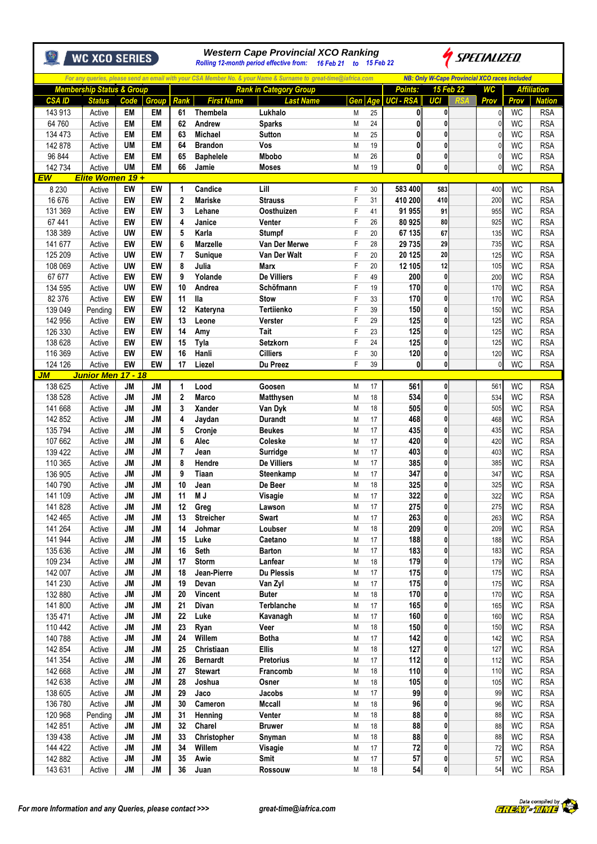|                    | WC XCO SERIES                        |                 |                        | <b>Western Cape Provincial XCO Ranking</b><br>SPECIALIZED<br>Rolling 12-month period effective from: 16 Feb 21 to 15 Feb 22 |                               |                                                                                                                |        |          |                              |                   |                                                      |               |                        |                          |
|--------------------|--------------------------------------|-----------------|------------------------|-----------------------------------------------------------------------------------------------------------------------------|-------------------------------|----------------------------------------------------------------------------------------------------------------|--------|----------|------------------------------|-------------------|------------------------------------------------------|---------------|------------------------|--------------------------|
|                    |                                      |                 |                        |                                                                                                                             |                               | For any queries, please send an email with your CSA Member No. & your Name & Surname to great-time@iafrica.com |        |          |                              |                   | <b>NB: Only W-Cape Provincial XCO races included</b> |               |                        |                          |
|                    | <b>Membership Status &amp; Group</b> |                 |                        |                                                                                                                             |                               | <b>Rank in Category Group</b>                                                                                  |        |          | Points:                      | 15 Feb 22         |                                                      | WC            |                        | <b>Affiliation</b>       |
| <b>CSA ID</b>      | <b>Status</b>                        | Code            | <b>Group</b>           | Rank                                                                                                                        | <b>First Name</b>             | <b>Last Name</b>                                                                                               | Gen    | Age      | <b>UCI - RSA</b>             | UCI               |                                                      | Prov          | Prov                   | <b>Nation</b>            |
| 143 913            | Active                               | <b>EM</b>       | EM<br><b>EM</b>        | 61                                                                                                                          | Thembela                      | Lukhalo                                                                                                        | M      | 25       | 0                            | 0<br>0            |                                                      | O             | WC                     | <b>RSA</b>               |
| 64 760<br>134 473  | Active<br>Active                     | EM<br><b>EM</b> | EM                     | 62<br>63                                                                                                                    | Andrew<br><b>Michael</b>      | <b>Sparks</b><br><b>Sutton</b>                                                                                 | M<br>M | 24<br>25 | $\mathbf{0}$<br>$\mathbf{0}$ | 0                 |                                                      | 0<br>ſ        | WC<br><b>WC</b>        | <b>RSA</b><br><b>RSA</b> |
| 142 878            | Active                               | UM              | <b>EM</b>              | 64                                                                                                                          | <b>Brandon</b>                | Vos                                                                                                            | M      | 19       | 0                            | 0                 |                                                      | $\mathcal{C}$ | <b>WC</b>              | <b>RSA</b>               |
| 96 844             | Active                               | <b>EM</b>       | EM                     | 65                                                                                                                          | <b>Baphelele</b>              | <b>Mbobo</b>                                                                                                   | M      | 26       | $\mathbf{0}$                 | 0                 |                                                      | $\mathcal{C}$ | <b>WC</b>              | <b>RSA</b>               |
| 142 734            | Active                               | <b>UM</b>       | <b>EM</b>              | 66                                                                                                                          | Jamie                         | <b>Moses</b>                                                                                                   | M      | 19       | $\mathbf{0}$                 | 0                 |                                                      | $\theta$      | <b>WC</b>              | <b>RSA</b>               |
| EW                 | Elite Women 19 +                     |                 |                        |                                                                                                                             |                               |                                                                                                                |        |          |                              |                   |                                                      |               |                        |                          |
| 8 2 3 0            | Active                               | EW              | EW                     | 1                                                                                                                           | Candice                       | Lill                                                                                                           | F      | 30       | 583 400                      | 583               |                                                      | 400           | <b>WC</b>              | <b>RSA</b>               |
| 16 676             | Active                               | EW              | EW                     | $\mathbf{2}$                                                                                                                | <b>Mariske</b>                | <b>Strauss</b>                                                                                                 | F      | 31       | 410 200                      | 410               |                                                      | 200           | <b>WC</b>              | <b>RSA</b>               |
| 131 369<br>67 441  | Active                               | EW<br>EW        | EW<br>EW               | 3<br>4                                                                                                                      | Lehane                        | Oosthuizen                                                                                                     | F<br>F | 41<br>26 | 91 955<br>80 925             | 91<br>80          |                                                      | 955<br>925    | WC<br><b>WC</b>        | <b>RSA</b><br><b>RSA</b> |
| 138 389            | Active<br>Active                     | UW              | EW                     | 5                                                                                                                           | Janice<br>Karla               | Venter<br><b>Stumpf</b>                                                                                        | F      | 20       | 67 135                       | 67                |                                                      | 135           | WC                     | <b>RSA</b>               |
| 141 677            | Active                               | EW              | EW                     | 6                                                                                                                           | <b>Marzelle</b>               | Van Der Merwe                                                                                                  | F      | 28       | 29 735                       | 29                |                                                      | 735           | <b>WC</b>              | <b>RSA</b>               |
| 125 209            | Active                               | UW              | EW                     | 7                                                                                                                           | <b>Sunique</b>                | Van Der Walt                                                                                                   | F      | 20       | 20 125                       | 20                |                                                      | 125           | <b>WC</b>              | <b>RSA</b>               |
| 108 069            | Active                               | <b>UW</b>       | EW                     | 8                                                                                                                           | Julia                         | <b>Marx</b>                                                                                                    | F      | 20       | 12 105                       | 12                |                                                      | 105           | <b>WC</b>              | <b>RSA</b>               |
| 67 677             | Active                               | EW              | EW                     | 9                                                                                                                           | Yolande                       | De Villiers                                                                                                    | F      | 49       | 200                          | 0                 |                                                      | 200           | <b>WC</b>              | <b>RSA</b>               |
| 134 595            | Active                               | UW              | EW                     | 10                                                                                                                          | Andrea                        | Schöfmann                                                                                                      | F      | 19       | 170                          | $\mathbf{0}$      |                                                      | 170           | <b>WC</b>              | <b>RSA</b>               |
| 82 376             | Active                               | EW              | EW                     | 11                                                                                                                          | <b>Ila</b>                    | <b>Stow</b>                                                                                                    | F      | 33       | 170                          | 0                 |                                                      | 170           | <b>WC</b>              | <b>RSA</b>               |
| 139 049            | Pending                              | EW              | EW                     | 12                                                                                                                          | Kateryna                      | Tertiienko                                                                                                     | F      | 39       | 150                          | 0                 |                                                      | 150           | <b>WC</b>              | <b>RSA</b>               |
| 142 956<br>126 330 | Active                               | EW<br>EW        | EW<br>EW               | 13<br>14                                                                                                                    | Leone<br>Amy                  | Verster<br>Tait                                                                                                | F<br>F | 29<br>23 | 125<br>125                   | 0<br>0            |                                                      | 125<br>125    | <b>WC</b><br><b>WC</b> | <b>RSA</b><br><b>RSA</b> |
| 138 628            | Active<br>Active                     | EW              | EW                     | 15                                                                                                                          | Tyla                          | Setzkorn                                                                                                       | F      | 24       | 125                          | $\mathbf{0}$      |                                                      | 125           | WC                     | <b>RSA</b>               |
| 116 369            | Active                               | EW              | EW                     | 16                                                                                                                          | Hanli                         | <b>Cilliers</b>                                                                                                | F      | 30       | 120                          | 0                 |                                                      | 120           | <b>WC</b>              | <b>RSA</b>               |
| 124 126            | Active                               | EW              | EW                     | 17                                                                                                                          | Liezel                        | Du Preez                                                                                                       | F      | 39       | 0                            | 0                 |                                                      | $\mathcal{C}$ | <b>WC</b>              | <b>RSA</b>               |
| JМ                 | Junior Men 17 - 18                   |                 |                        |                                                                                                                             |                               |                                                                                                                |        |          |                              |                   |                                                      |               |                        |                          |
| 138 625            | Active                               | JM              | <b>JM</b>              | 1                                                                                                                           | Lood                          | Goosen                                                                                                         | M      | 17       | 561                          | 0                 |                                                      | 561           | WC                     | <b>RSA</b>               |
| 138 528            | Active                               | JM              | <b>JM</b>              | $\overline{2}$                                                                                                              | <b>Marco</b>                  | <b>Matthysen</b>                                                                                               | M      | 18       | 534                          | 0                 |                                                      | 534           | WC                     | <b>RSA</b>               |
| 141 668            | Active                               | JМ              | <b>JM</b>              | 3                                                                                                                           | Xander                        | Van Dyk                                                                                                        | M      | 18       | 505                          | $\mathbf{0}$      |                                                      | 505           | <b>WC</b>              | <b>RSA</b>               |
| 142 852            | Active                               | JM              | <b>JM</b>              | 4                                                                                                                           | Jaydan                        | <b>Durandt</b>                                                                                                 | M      | 17       | 468                          | 0                 |                                                      | 468           | WC                     | <b>RSA</b>               |
| 135 794<br>107 662 | Active<br>Active                     | <b>JM</b><br>JМ | <b>JM</b><br><b>JM</b> | 5<br>6                                                                                                                      | Cronje<br>Alec                | <b>Beukes</b><br>Coleske                                                                                       | M<br>M | 17<br>17 | 435<br>420                   | 0<br>$\mathbf{0}$ |                                                      | 435<br>420    | <b>WC</b><br><b>WC</b> | <b>RSA</b><br><b>RSA</b> |
| 139 422            | Active                               | <b>JM</b>       | <b>JM</b>              | 7                                                                                                                           | Jean                          | Surridge                                                                                                       | M      | 17       | 403                          | 0                 |                                                      | 403           | WC                     | <b>RSA</b>               |
| 110 365            | Active                               | <b>JM</b>       | <b>JM</b>              | 8                                                                                                                           | Hendre                        | De Villiers                                                                                                    | M      | 17       | 385                          | 0                 |                                                      | 385           | <b>WC</b>              | <b>RSA</b>               |
| 136 905            | Active                               | JМ              | <b>JM</b>              | 9                                                                                                                           | Tiaan                         | Steenkamp                                                                                                      | M      | 17       | 347                          | 0                 |                                                      | 347           | <b>WC</b>              | <b>RSA</b>               |
| 140 790            | Active                               | JМ              | <b>JM</b>              | 10                                                                                                                          | Jean                          | De Beer                                                                                                        | M      | 18       | 325                          | 0                 |                                                      | 325           | WC                     | <b>RSA</b>               |
| 141 109            | Active                               | <b>JM</b>       | JM                     | 11                                                                                                                          | <b>MJ</b>                     | Visagie                                                                                                        | М      | 17       | 322                          | 0                 |                                                      | 322           | WC                     | <b>RSA</b>               |
| 141828             | Active                               | JM              | <b>JM</b>              | 12                                                                                                                          | Greg                          | Lawson                                                                                                         | M      | 17       | 275                          | 0                 |                                                      | 275           | WC                     | <b>RSA</b>               |
| 142 465            | Active                               | <b>JM</b>       | <b>JM</b>              | 13                                                                                                                          | <b>Streicher</b>              | Swart                                                                                                          | M      | 17       | 263                          | 0                 |                                                      | 263           | <b>WC</b>              | <b>RSA</b>               |
| 141 264            | Active                               | <b>JM</b>       | <b>JM</b>              | 14                                                                                                                          | Johmar                        | Loubser                                                                                                        | M      | 18       | 209                          | 0                 |                                                      | 209           | <b>WC</b>              | <b>RSA</b>               |
| 141 944<br>135 636 | Active<br>Active                     | <b>JM</b><br>JM | <b>JM</b><br><b>JM</b> | 15<br>16                                                                                                                    | Luke<br>Seth                  | Caetano<br><b>Barton</b>                                                                                       | M<br>M | 17<br>17 | 188<br>183                   | 0<br>0            |                                                      | 188<br>183    | <b>WC</b><br><b>WC</b> | <b>RSA</b><br><b>RSA</b> |
| 109 234            | Active                               | JM              | <b>JM</b>              | 17                                                                                                                          | Storm                         | Lanfear                                                                                                        | M      | 18       | 179                          | 0                 |                                                      | 179           | <b>WC</b>              | <b>RSA</b>               |
| 142 007            | Active                               | <b>JM</b>       | <b>JM</b>              | 18                                                                                                                          | Jean-Pierre                   | <b>Du Plessis</b>                                                                                              | M      | 17       | 175                          | 0                 |                                                      | 175           | <b>WC</b>              | <b>RSA</b>               |
| 141 230            | Active                               | JM              | JM                     | 19                                                                                                                          | Devan                         | Van Zyl                                                                                                        | M      | 17       | 175                          | 0                 |                                                      | 175           | <b>WC</b>              | <b>RSA</b>               |
| 132 880            | Active                               | <b>JM</b>       | JM                     | 20                                                                                                                          | Vincent                       | <b>Buter</b>                                                                                                   | M      | 18       | 170                          | 0                 |                                                      | 170           | WC                     | <b>RSA</b>               |
| 141 800            | Active                               | <b>JM</b>       | JM                     | 21                                                                                                                          | Divan                         | Terblanche                                                                                                     | M      | 17       | 165                          | 0                 |                                                      | 165           | <b>WC</b>              | <b>RSA</b>               |
| 135 471            | Active                               | JM              | JM                     | 22                                                                                                                          | Luke                          | Kavanagh                                                                                                       | M      | 17       | 160                          | 0                 |                                                      | 160           | <b>WC</b>              | <b>RSA</b>               |
| 110 442            | Active                               | JM              | <b>JM</b>              | 23                                                                                                                          | Ryan                          | Veer                                                                                                           | M      | 18       | 150                          | 0                 |                                                      | 150           | WC                     | <b>RSA</b>               |
| 140 788            | Active                               | <b>JM</b>       | <b>JM</b>              | 24                                                                                                                          | Willem                        | <b>Botha</b>                                                                                                   | M      | 17       | 142                          | 0<br>0            |                                                      | 142<br>127    | <b>WC</b>              | <b>RSA</b>               |
| 142 854<br>141 354 | Active                               | JM<br>JM        | <b>JM</b><br>JM        | 25<br>26                                                                                                                    | Christiaan<br><b>Bernardt</b> | <b>Ellis</b><br>Pretorius                                                                                      | M      | 18<br>17 | 127<br>112                   | 0                 |                                                      | 112           | <b>WC</b><br><b>WC</b> | <b>RSA</b><br><b>RSA</b> |
| 142 668            | Active<br>Active                     | JM              | <b>JM</b>              | 27                                                                                                                          | <b>Stewart</b>                | Francomb                                                                                                       | M<br>M | 18       | 110                          | 0                 |                                                      | 110           | <b>WC</b>              | <b>RSA</b>               |
| 142 638            | Active                               | JM              | JM                     | 28                                                                                                                          | Joshua                        | Osner                                                                                                          | M      | 18       | 105                          | 0                 |                                                      | 105           | <b>WC</b>              | <b>RSA</b>               |
| 138 605            | Active                               | <b>JM</b>       | <b>JM</b>              | 29                                                                                                                          | Jaco                          | Jacobs                                                                                                         | M      | 17       | 99                           | 0                 |                                                      | 99            | <b>WC</b>              | <b>RSA</b>               |
| 136 780            | Active                               | JM              | JM                     | 30                                                                                                                          | Cameron                       | Mccall                                                                                                         | M      | 18       | 96                           | 0                 |                                                      | 96            | <b>WC</b>              | <b>RSA</b>               |
| 120 968            | Pending                              | <b>JM</b>       | <b>JM</b>              | 31                                                                                                                          | Henning                       | Venter                                                                                                         | M      | 18       | 88                           | 0                 |                                                      | 88            | <b>WC</b>              | <b>RSA</b>               |
| 142 851            | Active                               | <b>JM</b>       | JM                     | 32                                                                                                                          | Charel                        | <b>Bruwer</b>                                                                                                  | M      | 18       | 88                           | 0                 |                                                      | 88            | <b>WC</b>              | <b>RSA</b>               |
| 139 438            | Active                               | JM              | JM                     | 33                                                                                                                          | Christopher                   | Snyman                                                                                                         | M      | 18       | 88                           | 0                 |                                                      | 88            | <b>WC</b>              | <b>RSA</b>               |
| 144 422            | Active                               | JM              | <b>JM</b>              | 34                                                                                                                          | Willem                        | Visagie                                                                                                        | M      | 17       | 72                           | 0                 |                                                      | 72            | WC                     | <b>RSA</b>               |
| 142 882            | Active                               | JM              | JM                     | 35                                                                                                                          | Awie                          | Smit                                                                                                           | M      | 17       | 57                           | 0                 |                                                      | 57            | <b>WC</b>              | <b>RSA</b>               |
| 143 631            | Active                               | JM              | JM                     | 36                                                                                                                          | Juan                          | Rossouw                                                                                                        | М      | $18\,$   | 54                           | 0                 |                                                      | 54            | WC                     | <b>RSA</b>               |

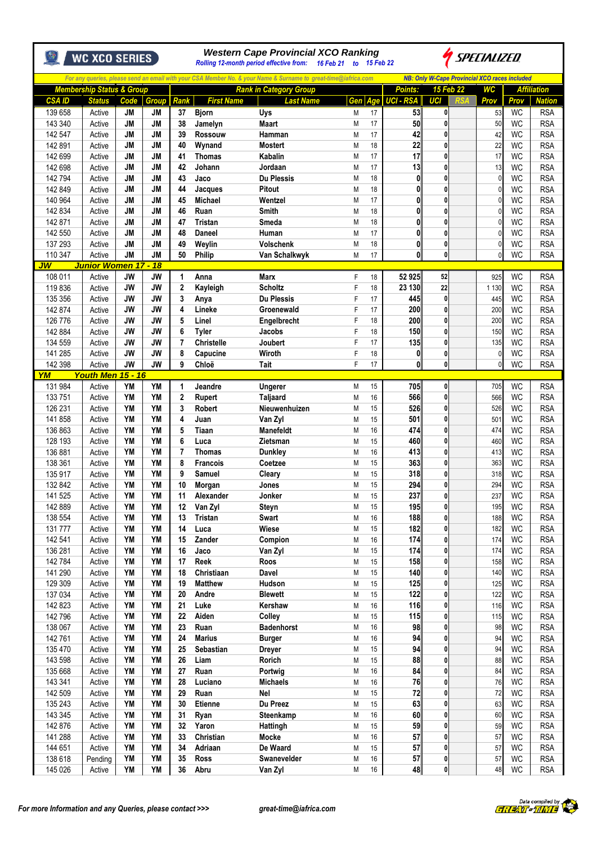|                    | <b>WC XCO SERIES</b>                 |                        |                        | <b>Western Cape Provincial XCO Ranking</b><br><i>SPECIALIZED</i><br>16 Feb 21 to 15 Feb 22<br>Rolling 12-month period effective from: |                         |                                                                                                                |        |          |                  |                                                      |  |                                |                        |                          |
|--------------------|--------------------------------------|------------------------|------------------------|---------------------------------------------------------------------------------------------------------------------------------------|-------------------------|----------------------------------------------------------------------------------------------------------------|--------|----------|------------------|------------------------------------------------------|--|--------------------------------|------------------------|--------------------------|
|                    |                                      |                        |                        |                                                                                                                                       |                         | For any queries, please send an email with your CSA Member No. & your Name & Surname to great-time@iafrica.com |        |          |                  | <b>NB: Only W-Cape Provincial XCO races included</b> |  |                                |                        |                          |
|                    | <b>Membership Status &amp; Group</b> |                        |                        |                                                                                                                                       |                         | <b>Rank in Category Group</b>                                                                                  |        |          | Points:          | <b>15 Feb 22</b>                                     |  | <b>WC</b>                      |                        | <b>Affiliation</b>       |
| <b>CSA ID</b>      | <b>Status</b>                        | Code                   | <b>Group</b>           | <b>Rank</b>                                                                                                                           | <b>First Name</b>       | <b>Last Name</b>                                                                                               | Gen    | Age      | <b>UCI - RSA</b> | UCI                                                  |  | Prov                           | Prov                   | <b>Nation</b>            |
| 139 658<br>143 340 | Active<br>Active                     | <b>JM</b><br><b>JM</b> | <b>JM</b><br><b>JM</b> | 37<br>38                                                                                                                              | <b>Bjorn</b><br>Jamelyn | Uys<br>Maart                                                                                                   | M<br>M | 17<br>17 | 53<br>50         | $\mathbf{0}$<br>0                                    |  | 53<br>50                       | <b>WC</b><br><b>WC</b> | <b>RSA</b><br><b>RSA</b> |
| 142 547            | Active                               | <b>JM</b>              | <b>JM</b>              | 39                                                                                                                                    | <b>Rossouw</b>          | Hamman                                                                                                         | M      | 17       | 42               | 0                                                    |  | 42                             | <b>WC</b>              | <b>RSA</b>               |
| 142 891            | Active                               | JМ                     | <b>JM</b>              | 40                                                                                                                                    | Wynand                  | <b>Mostert</b>                                                                                                 | M      | 18       | 22               | $\mathbf{0}$                                         |  | 22                             | <b>WC</b>              | <b>RSA</b>               |
| 142 699            | Active                               | <b>JM</b>              | <b>JM</b>              | 41                                                                                                                                    | <b>Thomas</b>           | Kabalin                                                                                                        | M      | 17       | 17               | $\mathbf{0}$                                         |  | 17                             | <b>WC</b>              | <b>RSA</b>               |
| 142 698            | Active                               | <b>JM</b>              | <b>JM</b>              | 42                                                                                                                                    | Johann                  | Jordaan                                                                                                        | M      | 17       | 13               | 0                                                    |  | 13                             | <b>WC</b>              | <b>RSA</b>               |
| 142 794            | Active                               | <b>JM</b>              | <b>JM</b>              | 43                                                                                                                                    | Jaco                    | <b>Du Plessis</b>                                                                                              | M      | 18       | $\mathbf{0}$     | $\mathbf{0}$                                         |  | $\mathcal{C}$                  | <b>WC</b>              | <b>RSA</b>               |
| 142 849            | Active                               | <b>JM</b>              | <b>JM</b>              | 44                                                                                                                                    | Jacques                 | <b>Pitout</b>                                                                                                  | M      | 18       | 0                | 0                                                    |  | $\mathcal{C}$                  | <b>WC</b>              | <b>RSA</b>               |
| 140 964            | Active                               | JМ                     | <b>JM</b>              | 45                                                                                                                                    | <b>Michael</b>          | Wentzel                                                                                                        | M      | 17       | $\mathbf{0}$     | $\mathbf{0}$                                         |  | 0                              | <b>WC</b>              | <b>RSA</b>               |
| 142 834            | Active                               | JМ                     | <b>JM</b>              | 46                                                                                                                                    | Ruan                    | <b>Smith</b>                                                                                                   | M      | 18       | 0                | $\mathbf{0}$                                         |  | $\theta$                       | WC                     | <b>RSA</b>               |
| 142 871            | Active                               | <b>JM</b>              | <b>JM</b>              | 47                                                                                                                                    | <b>Tristan</b>          | <b>Smeda</b>                                                                                                   | M      | 18       | 0                | 0<br>$\mathbf{0}$                                    |  | $\mathcal{C}$                  | WC                     | <b>RSA</b>               |
| 142 550<br>137 293 | Active<br>Active                     | <b>JM</b><br><b>JM</b> | <b>JM</b><br><b>JM</b> | 48<br>49                                                                                                                              | Daneel<br>Weylin        | Human<br>Volschenk                                                                                             | M<br>M | 17<br>18 | 0<br>0           | 0                                                    |  | $\mathcal{C}$<br>$\mathcal{C}$ | <b>WC</b><br><b>WC</b> | <b>RSA</b><br><b>RSA</b> |
| 110 347            | Active                               | <b>JM</b>              | <b>JM</b>              | 50                                                                                                                                    | <b>Philip</b>           | Van Schalkwyk                                                                                                  | M      | 17       | $\mathbf{0}$     | $\mathbf{0}$                                         |  | $\mathcal{C}$                  | <b>WC</b>              | <b>RSA</b>               |
| JW                 | <b>Junior Women 17 - 18</b>          |                        |                        |                                                                                                                                       |                         |                                                                                                                |        |          |                  |                                                      |  |                                |                        |                          |
| 108 011            | Active                               | JW                     | JW                     | 1                                                                                                                                     | Anna                    | <b>Marx</b>                                                                                                    | F      | 18       | 52 925           | 52                                                   |  | 925                            | WC                     | <b>RSA</b>               |
| 119836             | Active                               | <b>JW</b>              | <b>JW</b>              | $\overline{2}$                                                                                                                        | Kayleigh                | <b>Scholtz</b>                                                                                                 | F      | 18       | 23 130           | 22                                                   |  | 1 1 3 0                        | WC                     | <b>RSA</b>               |
| 135 356            | Active                               | <b>JW</b>              | <b>JW</b>              | 3                                                                                                                                     | Anya                    | <b>Du Plessis</b>                                                                                              | F      | 17       | 445              | $\mathbf{0}$                                         |  | 445                            | <b>WC</b>              | <b>RSA</b>               |
| 142 874            | Active                               | <b>JW</b>              | JW                     | 4                                                                                                                                     | Lineke                  | Groenewald                                                                                                     | F      | 17       | 200              | 0                                                    |  | 200                            | <b>WC</b>              | <b>RSA</b>               |
| 126 776            | Active                               | <b>JW</b>              | JW                     | 5                                                                                                                                     | Linel                   | Engelbrecht                                                                                                    | F      | 18       | 200              | 0                                                    |  | 200                            | <b>WC</b>              | <b>RSA</b>               |
| 142 884            | Active                               | <b>JW</b>              | <b>JW</b>              | 6                                                                                                                                     | <b>Tyler</b>            | Jacobs                                                                                                         | F      | 18       | 150              | 0                                                    |  | 150                            | <b>WC</b>              | <b>RSA</b>               |
| 134 559            | Active                               | <b>JW</b>              | JW                     | 7                                                                                                                                     | <b>Christelle</b>       | Joubert                                                                                                        | F      | 17       | 135              | 0                                                    |  | 135                            | WC                     | <b>RSA</b>               |
| 141 285            | Active                               | <b>JW</b>              | <b>JW</b>              | 8                                                                                                                                     | Capucine                | Wiroth                                                                                                         | F      | 18       | $\mathbf{0}$     | 0                                                    |  | $\mathcal{C}$                  | WC                     | <b>RSA</b>               |
| 142 398<br>YM      | Active<br><b>Youth Men</b>           | <b>JW</b><br>$15 - 16$ | <b>JW</b>              | 9                                                                                                                                     | Chloë                   | Tait                                                                                                           | F      | 17       | 0                | 0                                                    |  | $\mathfrak{c}$                 | <b>WC</b>              | <b>RSA</b>               |
| 131 984            | Active                               | YM                     | YM                     | 1                                                                                                                                     | Jeandre                 | Ungerer                                                                                                        | M      | 15       | 705              | 0                                                    |  | 705                            | <b>WC</b>              | <b>RSA</b>               |
| 133 751            | Active                               | <b>YM</b>              | YM                     | $\mathbf{2}$                                                                                                                          | Rupert                  | <b>Taljaard</b>                                                                                                | M      | 16       | 566              | $\mathbf{0}$                                         |  | 566                            | <b>WC</b>              | <b>RSA</b>               |
| 126 231            | Active                               | <b>YM</b>              | <b>YM</b>              | 3                                                                                                                                     | <b>Robert</b>           | Nieuwenhuizen                                                                                                  | M      | 15       | 526              | 0                                                    |  | 526                            | WC                     | <b>RSA</b>               |
| 141858             | Active                               | YM                     | <b>YM</b>              | 4                                                                                                                                     | Juan                    | Van Zyl                                                                                                        | M      | 15       | 501              | $\mathbf{0}$                                         |  | 501                            | <b>WC</b>              | <b>RSA</b>               |
| 136 863            | Active                               | YM                     | <b>YM</b>              | 5                                                                                                                                     | Tiaan                   | <b>Manefeldt</b>                                                                                               | M      | 16       | 474              | 0                                                    |  | 474                            | WC                     | <b>RSA</b>               |
| 128 193            | Active                               | YM                     | <b>YM</b>              | 6                                                                                                                                     | Luca                    | Zietsman                                                                                                       | M      | 15       | 460              | 0                                                    |  | 460                            | <b>WC</b>              | <b>RSA</b>               |
| 136 881            | Active                               | YM                     | <b>YM</b>              | 7                                                                                                                                     | <b>Thomas</b>           | <b>Dunkley</b>                                                                                                 | M      | 16       | 413              | $\mathbf{0}$                                         |  | 413                            | <b>WC</b>              | <b>RSA</b>               |
| 138 361            | Active                               | <b>YM</b>              | <b>YM</b>              | 8                                                                                                                                     | <b>Francois</b>         | Coetzee                                                                                                        | M      | 15       | 363              | 0                                                    |  | 363                            | <b>WC</b>              | <b>RSA</b>               |
| 135 917            | Active                               | <b>YM</b>              | <b>YM</b>              | 9                                                                                                                                     | Samuel                  | Cleary                                                                                                         | M      | 15       | 318              | 0                                                    |  | 318                            | WC                     | <b>RSA</b>               |
| 132 842            | Active                               | <b>YM</b>              | <b>YM</b>              | 10                                                                                                                                    | Morgan                  | Jones                                                                                                          | M      | 15       | 294              | 0                                                    |  | 294                            | <b>WC</b>              | <b>RSA</b>               |
| 141 525            | Active                               | YM<br>YM               | YM<br>YM               | 11<br>12                                                                                                                              | Alexander<br>Van Zyl    | Jonker                                                                                                         | M<br>M | 15<br>15 | 237 <br>195      | 0<br>0                                               |  | 237<br>195                     | WC<br><b>WC</b>        | <b>RSA</b><br><b>RSA</b> |
| 142 889<br>138 554 | Active<br>Active                     | YM                     | YM                     | 13                                                                                                                                    | Tristan                 | Steyn<br>Swart                                                                                                 | M      | 16       | 188              | 0                                                    |  | 188                            | <b>WC</b>              | <b>RSA</b>               |
| 131777             | Active                               | <b>YM</b>              | YM                     | 14                                                                                                                                    | Luca                    | Wiese                                                                                                          | M      | 15       | 182              | 0                                                    |  | 182                            | WC                     | <b>RSA</b>               |
| 142 541            | Active                               | YM                     | YM                     | 15                                                                                                                                    | Zander                  | Compion                                                                                                        | M      | 16       | 174              | 0                                                    |  | 174                            | WC                     | <b>RSA</b>               |
| 136 281            | Active                               | YM                     | YM                     | 16                                                                                                                                    | Jaco                    | Van Zyl                                                                                                        | M      | 15       | 174              | 0                                                    |  | 174                            | <b>WC</b>              | <b>RSA</b>               |
| 142 784            | Active                               | YM                     | <b>YM</b>              | 17                                                                                                                                    | Reek                    | Roos                                                                                                           | M      | 15       | 158              | 0                                                    |  | 158                            | <b>WC</b>              | <b>RSA</b>               |
| 141 290            | Active                               | YM                     | YM                     | 18                                                                                                                                    | Christiaan              | Davel                                                                                                          | M      | 15       | 140              | 0                                                    |  | 140                            | <b>WC</b>              | <b>RSA</b>               |
| 129 309            | Active                               | YM                     | YM                     | 19                                                                                                                                    | <b>Matthew</b>          | Hudson                                                                                                         | M      | 15       | 125              | 0                                                    |  | 125                            | <b>WC</b>              | <b>RSA</b>               |
| 137 034            | Active                               | YM                     | YM                     | 20                                                                                                                                    | Andre                   | <b>Blewett</b>                                                                                                 | M      | 15       | 122              | 0                                                    |  | 122                            | <b>WC</b>              | <b>RSA</b>               |
| 142 823            | Active                               | YM                     | YM                     | 21                                                                                                                                    | Luke                    | Kershaw                                                                                                        | M      | 16       | 116              | 0                                                    |  | 116                            | WC                     | <b>RSA</b>               |
| 142796             | Active                               | YM                     | YM                     | 22                                                                                                                                    | Aiden                   | Colley                                                                                                         | M      | 15       | 115              | 0                                                    |  | 115                            | <b>WC</b>              | <b>RSA</b>               |
| 138 067<br>142 761 | Active                               | YM<br>YM               | YM<br><b>YM</b>        | 23<br>24                                                                                                                              | Ruan<br><b>Marius</b>   | <b>Badenhorst</b>                                                                                              | M<br>M | 16<br>16 | 98<br>94         | 0<br>0                                               |  | 98<br>94                       | <b>WC</b><br><b>WC</b> | <b>RSA</b><br><b>RSA</b> |
| 135 470            | Active<br>Active                     | YM                     | YM                     | 25                                                                                                                                    | Sebastian               | <b>Burger</b><br><b>Dreyer</b>                                                                                 | M      | 15       | 94               | 0                                                    |  | 94                             | WC                     | <b>RSA</b>               |
| 143 598            | Active                               | YM                     | YM                     | 26                                                                                                                                    | Liam                    | Rorich                                                                                                         | M      | 15       | 88               | 0                                                    |  | 88                             | <b>WC</b>              | <b>RSA</b>               |
| 135 668            | Active                               | YM                     | YM                     | 27                                                                                                                                    | Ruan                    | Portwig                                                                                                        | M      | 16       | 84               | 0                                                    |  | 84                             | <b>WC</b>              | <b>RSA</b>               |
| 143 341            | Active                               | YM                     | YM                     | 28                                                                                                                                    | Luciano                 | <b>Michaels</b>                                                                                                | M      | 16       | 76               | 0                                                    |  | 76                             | <b>WC</b>              | <b>RSA</b>               |
| 142 509            | Active                               | YM                     | YM                     | 29                                                                                                                                    | Ruan                    | <b>Nel</b>                                                                                                     | M      | 15       | 72               | 0                                                    |  | 72                             | <b>WC</b>              | <b>RSA</b>               |
| 135 243            | Active                               | <b>YM</b>              | YM                     | 30                                                                                                                                    | Etienne                 | Du Preez                                                                                                       | M      | 15       | 63               | 0                                                    |  | 63                             | <b>WC</b>              | <b>RSA</b>               |
| 143 345            | Active                               | YM                     | YM                     | 31                                                                                                                                    | Ryan                    | Steenkamp                                                                                                      | M      | 16       | 60               | 0                                                    |  | 60                             | WC                     | <b>RSA</b>               |
| 142 876            | Active                               | YM                     | YM                     | 32                                                                                                                                    | Yaron                   | Hattingh                                                                                                       | M      | 15       | 59               | 0                                                    |  | 59                             | <b>WC</b>              | <b>RSA</b>               |
| 141 288            | Active                               | YM                     | YM                     | 33                                                                                                                                    | Christian               | <b>Mocke</b>                                                                                                   | M      | 16       | 57               | 0                                                    |  | 57                             | <b>WC</b>              | <b>RSA</b>               |
| 144 651            | Active                               | YM                     | YM                     | 34                                                                                                                                    | Adriaan                 | De Waard                                                                                                       | M      | 15       | 57               | 0                                                    |  | 57                             | <b>WC</b>              | <b>RSA</b>               |
| 138 618            | Pending                              | YM                     | YM                     | 35                                                                                                                                    | Ross                    | Swanevelder                                                                                                    | M      | 16       | 57               | 0                                                    |  | 57                             | WC                     | <b>RSA</b>               |
| 145 026            | Active                               | YM                     | YM                     | 36                                                                                                                                    | Abru                    | Van Zyl                                                                                                        | M      | 16       | 48               | 0                                                    |  | 48                             | WC                     | <b>RSA</b>               |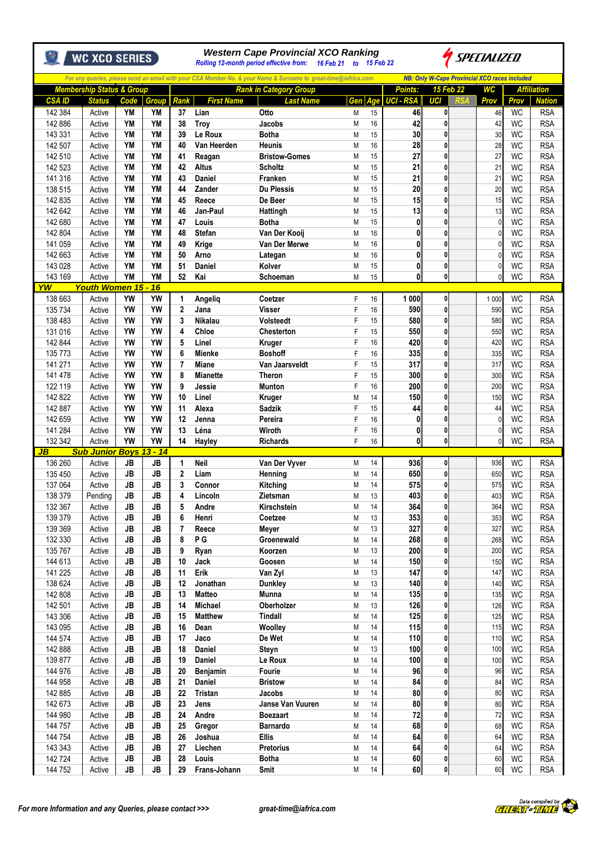|                                              | <b>WC XCO SERIES</b>                     |                        |                        |                |                           | <b>Western Cape Provincial XCO Ranking</b><br>Rolling 12-month period effective from: 16 Feb 21 to 15 Feb 22   |          |           |                        |                                                      | SPECIALIZED        |                        |                             |
|----------------------------------------------|------------------------------------------|------------------------|------------------------|----------------|---------------------------|----------------------------------------------------------------------------------------------------------------|----------|-----------|------------------------|------------------------------------------------------|--------------------|------------------------|-----------------------------|
|                                              |                                          |                        |                        |                |                           | For any queries, please send an email with your CSA Member No. & your Name & Surname to great-time@iafrica.com |          |           |                        | <b>NB: Only W-Cape Provincial XCO races included</b> |                    |                        |                             |
|                                              | <b>Membership Status &amp; Group</b>     |                        |                        |                |                           | <b>Rank in Category Group</b>                                                                                  |          |           | <b>Points:</b>         | 15 Feb 22                                            | <b>WC</b>          |                        | <b>Affiliation</b>          |
| <b>CSA ID</b><br>142 384                     | <b>Status</b><br>Active                  | Code<br>YM             | <b>Group</b><br>YM     | Rank<br>37     | <b>First Name</b><br>Lian | <b>Last Name</b><br>Otto                                                                                       | Gen<br>M | Age<br>15 | <b>UCI - RSA</b><br>46 | UCI<br>0                                             | Prov<br>46         | Prov<br>WC             | <b>Nation</b><br><b>RSA</b> |
| 142 886                                      | Active                                   | <b>YM</b>              | YM                     | 38             | <b>Troy</b>               | Jacobs                                                                                                         | M        | 16        | 42                     | 0                                                    | 42                 | <b>WC</b>              | <b>RSA</b>                  |
| 143 331                                      | Active                                   | <b>YM</b>              | YM                     | 39             | Le Roux                   | <b>Botha</b>                                                                                                   | M        | 15        | 30                     | 0                                                    | 30                 | <b>WC</b>              | <b>RSA</b>                  |
| 142 507                                      | Active                                   | <b>YM</b>              | <b>YM</b>              | 40             | Van Heerden               | <b>Heunis</b>                                                                                                  | M        | 16        | 28                     | 0                                                    | 28                 | <b>WC</b>              | <b>RSA</b>                  |
| 142 510                                      | Active                                   | <b>YM</b>              | <b>YM</b>              | 41             | Reagan                    | <b>Bristow-Gomes</b>                                                                                           | M        | 15        | 27                     | 0                                                    | 27                 | <b>WC</b>              | <b>RSA</b>                  |
| 142 523                                      | Active                                   | <b>YM</b>              | YM                     | 42             | <b>Altus</b>              | <b>Scholtz</b>                                                                                                 | M        | 15        | $\overline{21}$        | 0                                                    | 21                 | <b>WC</b>              | <b>RSA</b>                  |
| 141 316                                      | Active                                   | <b>YM</b>              | YM                     | 43             | <b>Daniel</b>             | Franken                                                                                                        | M        | 15        | 21                     | 0                                                    | 21                 | <b>WC</b>              | <b>RSA</b>                  |
| 138 515                                      | Active                                   | <b>YM</b>              | YM                     | 44             | Zander                    | <b>Du Plessis</b>                                                                                              | M        | 15        | 20                     | 0                                                    | 20                 | WC                     | <b>RSA</b>                  |
| 142 835                                      | Active                                   | <b>YM</b><br><b>YM</b> | YM<br><b>YM</b>        | 45             | Reece                     | De Beer                                                                                                        | M<br>M   | 15        | 15                     | 0<br>0                                               | 15                 | <b>WC</b><br><b>WC</b> | <b>RSA</b>                  |
| 142 642<br>142 680                           | Active<br>Active                         | <b>YM</b>              | YM                     | 46<br>47       | Jan-Paul<br>Louis         | Hattingh<br><b>Botha</b>                                                                                       | M        | 15<br>15  | 13<br>$\mathbf{0}$     | 0                                                    | 13<br>$\mathbf{0}$ | WC                     | <b>RSA</b><br><b>RSA</b>    |
| 142 804                                      | Active                                   | YM                     | YM                     | 48             | <b>Stefan</b>             | Van Der Kooij                                                                                                  | M        | 16        | $\mathbf{0}$           | 0                                                    |                    | <b>WC</b>              | <b>RSA</b>                  |
| 141 059                                      | Active                                   | <b>YM</b>              | <b>YM</b>              | 49             | Krige                     | Van Der Merwe                                                                                                  | M        | 16        | $\mathbf{0}$           | $\mathbf{0}$                                         | $\mathbf{0}$       | WC                     | <b>RSA</b>                  |
| 142 663                                      | Active                                   | YM                     | YM                     | 50             | Arno                      | Lategan                                                                                                        | M        | 16        | $\mathbf{0}$           | 0                                                    | 0                  | <b>WC</b>              | <b>RSA</b>                  |
| 143 028                                      | Active                                   | <b>YM</b>              | <b>YM</b>              | 51             | <b>Daniel</b>             | Kolver                                                                                                         | M        | 15        | $\mathbf{0}$           | 0                                                    | $\Omega$           | <b>WC</b>              | <b>RSA</b>                  |
| 143 169                                      | Active                                   | <b>YM</b>              | YM                     | 52             | Kai                       | Schoeman                                                                                                       | M        | 15        | $\mathbf{0}$           | $\mathbf{0}$                                         | $\Omega$           | <b>WC</b>              | <b>RSA</b>                  |
| YW                                           | <b>Youth Women 15 - 16</b>               |                        |                        |                |                           |                                                                                                                |          |           |                        |                                                      |                    |                        |                             |
| 138 663                                      | Active                                   | YW                     | YW                     | 1              | Angelig                   | Coetzer                                                                                                        | F        | 16        | 1 000                  | 0                                                    | 1 0 0 0            | <b>WC</b>              | <b>RSA</b>                  |
| 135 734                                      | Active                                   | <b>YW</b><br><b>YW</b> | YW<br>YW               | $\overline{2}$ | Jana                      | <b>Visser</b>                                                                                                  | F        | 16        | 590<br>580             | $\mathbf 0$                                          | 590                | <b>WC</b><br><b>WC</b> | <b>RSA</b>                  |
| 138 483<br>131 016                           | Active<br>Active                         | <b>YW</b>              | YW                     | 3<br>4         | <b>Nikalau</b><br>Chloe   | <b>Volsteedt</b><br>Chesterton                                                                                 | F<br>F   | 15<br>15  | 550                    | 0<br>0                                               | 580<br>550         | <b>WC</b>              | <b>RSA</b><br><b>RSA</b>    |
| 142 844                                      | Active                                   | YW                     | YW                     | 5              | Linel                     | Kruger                                                                                                         | F        | 16        | 420                    | 0                                                    | 420                | WC                     | <b>RSA</b>                  |
| 135 773                                      | Active                                   | <b>YW</b>              | YW                     | 6              | Mienke                    | <b>Boshoff</b>                                                                                                 | F        | 16        | 335                    | 0                                                    | 335                | <b>WC</b>              | <b>RSA</b>                  |
| 141 271                                      | Active                                   | <b>YW</b>              | YW                     | 7              | <b>Miane</b>              | Van Jaarsveldt                                                                                                 | F        | 15        | 317                    | $\mathbf{0}$                                         | 317                | WC                     | <b>RSA</b>                  |
| 141 478                                      | Active                                   | <b>YW</b>              | YW                     | 8              | <b>Mianette</b>           | <b>Theron</b>                                                                                                  | F        | 15        | 300                    | 0                                                    | 300                | <b>WC</b>              | <b>RSA</b>                  |
| 122 119                                      | Active                                   | <b>YW</b>              | YW                     | 9              | Jessie                    | <b>Munton</b>                                                                                                  | F        | 16        | 200                    | 0                                                    | 200                | <b>WC</b>              | <b>RSA</b>                  |
| 142 822                                      | Active                                   | <b>YW</b>              | YW                     | 10             | Linel                     | <b>Kruger</b>                                                                                                  | M        | 14        | 150                    | $\mathbf{0}$                                         | 150                | <b>WC</b>              | <b>RSA</b>                  |
| 142 887                                      | Active                                   | <b>YW</b>              | YW                     | 11             | Alexa                     | <b>Sadzik</b>                                                                                                  | F        | 15        | 44                     | 0                                                    | 44                 | <b>WC</b>              | <b>RSA</b>                  |
| 142 659                                      | Active                                   | YW                     | YW                     | 12             | Jenna                     | Pereira                                                                                                        | F        | 16        | $\mathbf{0}$           | 0                                                    | $\mathbf{0}$       | <b>WC</b>              | <b>RSA</b>                  |
| 141 284                                      | Active                                   | <b>YW</b>              | YW                     | 13             | Léna                      | Wiroth                                                                                                         | F        | 16        | 0                      | 0                                                    | $\mathbf{0}$       | <b>WC</b>              | <b>RSA</b>                  |
| 132 342<br>$\overline{\mathsf{J}\mathsf{B}}$ | Active                                   | YW                     | YW                     | 14             | Hayley                    | <b>Richards</b>                                                                                                | F        | 16        | 0                      | $\mathbf 0$                                          | 0                  | <b>WC</b>              | <b>RSA</b>                  |
| 136 260                                      | <b>Sub Junior Boys 13 - 14</b><br>Active | JB                     | <b>JB</b>              | $\mathbf{1}$   | <b>Neil</b>               | Van Der Vyver                                                                                                  | М        | 14        | 936                    | 0                                                    | 936                | WC                     | <b>RSA</b>                  |
| 135 450                                      | Active                                   | JB                     | JB                     | $\mathbf{2}$   | Liam                      | Henning                                                                                                        | M        | 14        | 650                    | 0                                                    | 650                | WC                     | <b>RSA</b>                  |
| 137 064                                      | Active                                   | <b>JB</b>              | JB                     | 3              | Connor                    | Kitching                                                                                                       | M        | 14        | 575                    | $\mathbf{0}$                                         | 575                | <b>WC</b>              | <b>RSA</b>                  |
| 138 379                                      | Pending                                  | <b>JB</b>              | <b>JB</b>              | 4              | Lincoln                   | Zietsman                                                                                                       | M        | 13        | 403                    | U                                                    | 403                | WC                     | <b>RSA</b>                  |
| 132 367                                      | Active                                   | <b>JB</b>              | <b>JB</b>              | 5              | Andre                     | Kirschstein                                                                                                    | M        | 14        | 364                    | $\mathbf 0$                                          | 364                | WC                     | <b>RSA</b>                  |
| 139 379                                      | Active                                   | JB                     | <b>JB</b>              | 6              | Henri                     | Coetzee                                                                                                        | M        | 13        | 353                    | $\mathbf 0$                                          | 353                | <b>WC</b>              | <b>RSA</b>                  |
| 139 369                                      | Active                                   | JB                     | <b>JB</b>              | $\overline{7}$ | Reece                     | Meyer                                                                                                          | M        | 13        | 327                    | $\mathbf 0$                                          | 327                | <b>WC</b>              | <b>RSA</b>                  |
| 132 330                                      | Active                                   | JB                     | <b>JB</b>              | 8              | PG                        | Groenewald                                                                                                     | M        | 14        | 268                    | 0                                                    | 268                | <b>WC</b>              | <b>RSA</b>                  |
| 135 767                                      | Active                                   | <b>JB</b>              | <b>JB</b>              | 9              | Ryan                      | Koorzen                                                                                                        | M        | 13        | 200                    | $\pmb{0}$                                            | 200                | WC                     | <b>RSA</b>                  |
| 144 613                                      | Active                                   | <b>JB</b>              | <b>JB</b>              | 10             | Jack                      | Goosen                                                                                                         | M        | 14        | 150                    | 0                                                    | 150                | <b>WC</b>              | <b>RSA</b>                  |
| 141 225<br>138 624                           | Active<br>Active                         | <b>JB</b><br>JB        | <b>JB</b><br><b>JB</b> | 11<br>12       | Erik<br>Jonathan          | Van Zyl<br><b>Dunkley</b>                                                                                      | M<br>M   | 13<br>13  | 147<br>140             | $\pmb{0}$<br>0                                       | 147<br>140         | WC<br>WC               | <b>RSA</b><br><b>RSA</b>    |
| 142 808                                      | Active                                   | JB                     | <b>JB</b>              | 13             | <b>Matteo</b>             | <b>Munna</b>                                                                                                   | M        | 14        | 135                    | 0                                                    | 135                | <b>WC</b>              | <b>RSA</b>                  |
| 142 501                                      | Active                                   | JB                     | <b>JB</b>              | 14             | <b>Michael</b>            | Oberholzer                                                                                                     | M        | 13        | 126                    | 0                                                    | 126                | WC                     | <b>RSA</b>                  |
| 143 306                                      | Active                                   | <b>JB</b>              | <b>JB</b>              | 15             | <b>Matthew</b>            | <b>Tindall</b>                                                                                                 | M        | 14        | 125                    | 0                                                    | 125                | <b>WC</b>              | <b>RSA</b>                  |
| 143 095                                      | Active                                   | JB                     | <b>JB</b>              | 16             | Dean                      | Woolley                                                                                                        | M        | 14        | 115                    | 0                                                    | 115                | WC                     | <b>RSA</b>                  |
| 144 574                                      | Active                                   | <b>JB</b>              | <b>JB</b>              | 17             | Jaco                      | De Wet                                                                                                         | M        | 14        | 110                    | $\mathbf 0$                                          | 110                | <b>WC</b>              | <b>RSA</b>                  |
| 142 888                                      | Active                                   | JB                     | JB                     | 18             | <b>Daniel</b>             | Steyn                                                                                                          | M        | 13        | 100                    | 0                                                    | 100                | <b>WC</b>              | <b>RSA</b>                  |
| 139 877                                      | Active                                   | JB                     | <b>JB</b>              | 19             | Daniel                    | Le Roux                                                                                                        | M        | 14        | 100                    | 0                                                    | 100                | WC                     | <b>RSA</b>                  |
| 144 976                                      | Active                                   | JB                     | <b>JB</b>              | 20             | Benjamin                  | Fourie                                                                                                         | M        | 14        | 96                     | $\pmb{0}$                                            | 96                 | WC                     | <b>RSA</b>                  |
| 144 958                                      | Active                                   | <b>JB</b>              | <b>JB</b>              | 21             | <b>Daniel</b>             | <b>Bristow</b>                                                                                                 | M        | 14        | 84                     | $\pmb{0}$                                            | 84                 | <b>WC</b>              | <b>RSA</b>                  |
| 142 885                                      | Active                                   | <b>JB</b>              | <b>JB</b>              | 22             | Tristan                   | Jacobs                                                                                                         | M        | 14<br>14  | 80                     | 0                                                    | 80                 | <b>WC</b>              | <b>RSA</b>                  |
| 142 673<br>144 980                           | Active<br>Active                         | JB<br>JB               | <b>JB</b><br>JB        | 23<br>24       | Jens<br>Andre             | Janse Van Vuuren<br><b>Boezaart</b>                                                                            | M<br>M   | 14        | 80<br>72               | $\pmb{0}$<br>$\mathbf 0$                             | 80<br>72           | WC<br><b>WC</b>        | <b>RSA</b><br><b>RSA</b>    |
| 144 757                                      | Active                                   | JB                     | <b>JB</b>              | 25             | Gregor                    | Barnardo                                                                                                       | M        | 14        | 68                     | $\bf{0}$                                             | 68                 | WC                     | <b>RSA</b>                  |
| 144 754                                      | Active                                   | <b>JB</b>              | <b>JB</b>              | 26             | Joshua                    | <b>Ellis</b>                                                                                                   | M        | 14        | 64                     | 0                                                    | 64                 | WC                     | <b>RSA</b>                  |
| 143 343                                      | Active                                   | JB                     | <b>JB</b>              | 27             | Liechen                   | <b>Pretorius</b>                                                                                               | M        | 14        | 64                     | 0                                                    | 64                 | WC                     | <b>RSA</b>                  |
| 142724                                       | Active                                   | JB                     | <b>JB</b>              | 28             | Louis                     | <b>Botha</b>                                                                                                   | M        | 14        | 60                     | $\mathbf 0$                                          | 60                 | <b>WC</b>              | <b>RSA</b>                  |
| 144 752                                      | Active                                   | JB                     | <b>JB</b>              | 29             | Frans-Johann              | Smit                                                                                                           | M        | $14$      | 60                     | $\pmb{0}$                                            | 60                 | WC                     | <b>RSA</b>                  |

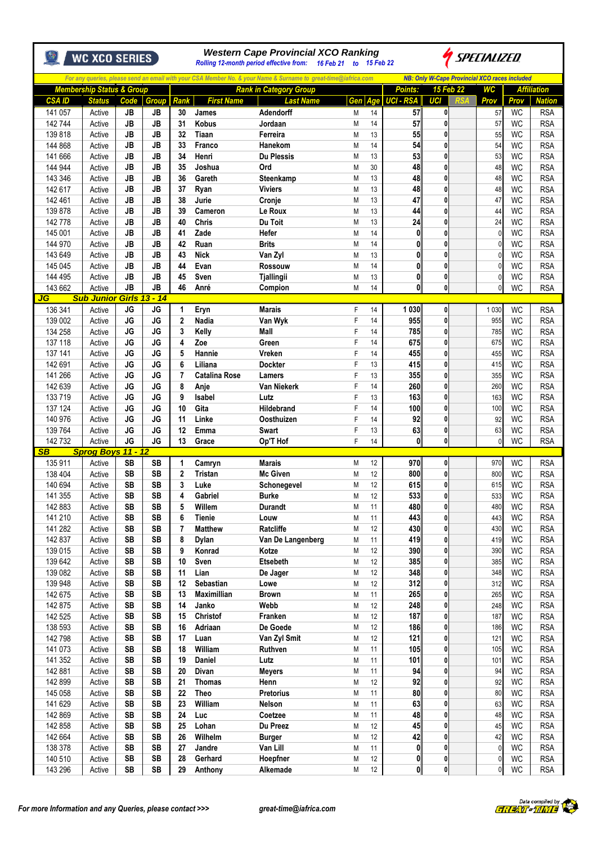|                          | <b>WC XCO SERIES</b>                 |           |                        |                        | <b>Western Cape Provincial XCO Ranking</b><br><i>SPECIALIZED</i><br>Rolling 12-month period effective from: 16 Feb 21 to 15 Feb 22 |                                 |                                                                                                                |          |          |                        |                             |  |                                                      |                        |                             |
|--------------------------|--------------------------------------|-----------|------------------------|------------------------|------------------------------------------------------------------------------------------------------------------------------------|---------------------------------|----------------------------------------------------------------------------------------------------------------|----------|----------|------------------------|-----------------------------|--|------------------------------------------------------|------------------------|-----------------------------|
|                          |                                      |           |                        |                        |                                                                                                                                    |                                 | For any queries, please send an email with your CSA Member No. & your Name & Surname to great-time@iafrica.com |          |          |                        |                             |  | <b>NB: Only W-Cape Provincial XCO races included</b> |                        |                             |
|                          | <b>Membership Status &amp; Group</b> |           |                        |                        |                                                                                                                                    |                                 | <b>Rank in Category Group</b>                                                                                  |          |          | Points:                | 15 Feb 22                   |  | WC                                                   |                        | <b>Affiliation</b>          |
| <b>CSA ID</b><br>141 057 | <b>Status</b>                        |           | Code<br>JB             | Group<br>JB            | Rank<br>30                                                                                                                         | <b>First Name</b><br>James      | <b>Last Name</b><br>Adendorff                                                                                  | Gen<br>М | Age      | <b>UCI - RSA</b><br>57 | <b>UCI</b><br>0             |  | Prov<br>57                                           | Prov<br><b>WC</b>      | <b>Nation</b><br><b>RSA</b> |
| 142 744                  | Active<br>Active                     | <b>JB</b> |                        | <b>JB</b>              | 31                                                                                                                                 | Kobus                           | Jordaan                                                                                                        | M        | 14<br>14 | 57                     | 0                           |  | 57                                                   | <b>WC</b>              | <b>RSA</b>                  |
| 139818                   | Active                               |           | <b>JB</b>              | JB                     | 32                                                                                                                                 | Tiaan                           | Ferreira                                                                                                       | M        | 13       | 55                     | 0                           |  | 55                                                   | <b>WC</b>              | <b>RSA</b>                  |
| 144 868                  | Active                               | <b>JB</b> |                        | <b>JB</b>              | 33                                                                                                                                 | Franco                          | Hanekom                                                                                                        | M        | 14       | 54                     | 0                           |  | 54                                                   | <b>WC</b>              | <b>RSA</b>                  |
| 141 666                  | Active                               | <b>JB</b> |                        | JB                     | 34                                                                                                                                 | Henri                           | <b>Du Plessis</b>                                                                                              | M        | 13       | 53                     | $\mathbf{0}$                |  | 53                                                   | WC                     | <b>RSA</b>                  |
| 144 944                  | Active                               |           | JB                     | <b>JB</b>              | 35                                                                                                                                 | Joshua                          | Ord                                                                                                            | M        | 30       | 48                     | $\mathbf{0}$                |  | 48                                                   | <b>WC</b>              | <b>RSA</b>                  |
| 143 346                  | Active                               |           | <b>JB</b>              | JB                     | 36                                                                                                                                 | Gareth                          | Steenkamp                                                                                                      | M        | 13       | 48                     | 0                           |  | 48                                                   | <b>WC</b>              | <b>RSA</b>                  |
| 142 617                  | Active                               |           | <b>JB</b>              | <b>JB</b>              | 37                                                                                                                                 | Ryan                            | <b>Viviers</b>                                                                                                 | M        | 13       | 48                     | 0                           |  | 48                                                   | WC                     | <b>RSA</b>                  |
| 142 461                  | Active                               |           | <b>JB</b>              | <b>JB</b>              | 38                                                                                                                                 | Jurie                           | Cronje                                                                                                         | M        | 13       | 47                     | 0                           |  | 47                                                   | <b>WC</b>              | <b>RSA</b>                  |
| 139 878<br>142778        | Active<br>Active                     |           | <b>JB</b><br>JB        | JB<br><b>JB</b>        | 39<br>40                                                                                                                           | Cameron<br><b>Chris</b>         | Le Roux<br>Du Toit                                                                                             | M<br>M   | 13<br>13 | 44<br>24               | 0<br>0                      |  | 44<br>24                                             | <b>WC</b><br><b>WC</b> | <b>RSA</b><br><b>RSA</b>    |
| 145 001                  | Active                               |           | JB                     | JB                     | 41                                                                                                                                 | Zade                            | Hefer                                                                                                          | M        | 14       | $\mathbf{0}$           | $\mathbf{0}$                |  | $\mathbf{0}$                                         | WC                     | <b>RSA</b>                  |
| 144 970                  | Active                               |           | JB                     | JB                     | 42                                                                                                                                 | Ruan                            | <b>Brits</b>                                                                                                   | M        | 14       | 0                      | $\mathbf 0$                 |  | $\mathbf{0}$                                         | <b>WC</b>              | <b>RSA</b>                  |
| 143 649                  | Active                               |           | <b>JB</b>              | <b>JB</b>              | 43                                                                                                                                 | <b>Nick</b>                     | Van Zyl                                                                                                        | M        | 13       | 0                      | 0                           |  | 0                                                    | <b>WC</b>              | <b>RSA</b>                  |
| 145 045                  | Active                               | <b>JB</b> |                        | <b>JB</b>              | 44                                                                                                                                 | Evan                            | Rossouw                                                                                                        | M        | 14       | 0                      | 0                           |  | 0                                                    | WC                     | <b>RSA</b>                  |
| 144 495                  | Active                               | <b>JB</b> |                        | <b>JB</b>              | 45                                                                                                                                 | Sven                            | <b>Tjallingii</b>                                                                                              | M        | 13       | 0                      | 0                           |  | $\mathbf{0}$                                         | WC                     | <b>RSA</b>                  |
| 143 662                  | Active                               |           | <b>JB</b>              | JB                     | 46                                                                                                                                 | Anré                            | Compion                                                                                                        | M        | 14       | 0                      | $\mathbf{0}$                |  | 0                                                    | <b>WC</b>              | <b>RSA</b>                  |
| JG                       | <b>Sub Junior</b>                    |           |                        | Girls 13 - 14          |                                                                                                                                    |                                 |                                                                                                                |          |          |                        |                             |  |                                                      |                        |                             |
| 136 341                  | Active                               |           | <b>JG</b>              | <b>JG</b>              | 1                                                                                                                                  | Eryn                            | <b>Marais</b>                                                                                                  | F        | 14       | 1 0 3 0                | $\mathbf 0$                 |  | 1 0 3 0                                              | <b>WC</b>              | <b>RSA</b>                  |
| 139 002                  | Active                               |           | JG<br><b>JG</b>        | JG<br><b>JG</b>        | $\overline{2}$<br>3                                                                                                                | Nadia<br>Kelly                  | Van Wyk<br><b>Mall</b>                                                                                         | F        | 14       | 955<br>785             | $\mathbf{0}$<br>0           |  | 955                                                  | <b>WC</b><br><b>WC</b> | <b>RSA</b>                  |
| 134 258<br>137 118       | Active<br>Active                     |           | <b>JG</b>              | JG                     | 4                                                                                                                                  | Zoe                             | Green                                                                                                          | F<br>F   | 14<br>14 | 675                    | 0                           |  | 785<br>675                                           | WC                     | <b>RSA</b><br><b>RSA</b>    |
| 137 141                  | Active                               |           | JG                     | <b>JG</b>              | 5                                                                                                                                  | Hannie                          | Vreken                                                                                                         | F        | 14       | 455                    | $\mathbf 0$                 |  | 455                                                  | WC                     | <b>RSA</b>                  |
| 142 691                  | Active                               | JG        |                        | <b>JG</b>              | 6                                                                                                                                  | Liliana                         | <b>Dockter</b>                                                                                                 | F        | 13       | 415                    | 0                           |  | 415                                                  | <b>WC</b>              | <b>RSA</b>                  |
| 141 266                  | Active                               |           | JG                     | <b>JG</b>              | 7                                                                                                                                  | <b>Catalina Rose</b>            | Lamers                                                                                                         | F        | 13       | 355                    | 0                           |  | 355                                                  | <b>WC</b>              | <b>RSA</b>                  |
| 142 639                  | Active                               |           | <b>JG</b>              | <b>JG</b>              | 8                                                                                                                                  | Anje                            | Van Niekerk                                                                                                    | F        | 14       | 260                    | 0                           |  | 260                                                  | WC                     | <b>RSA</b>                  |
| 133719                   | Active                               |           | <b>JG</b>              | <b>JG</b>              | 9                                                                                                                                  | <b>Isabel</b>                   | Lutz                                                                                                           | F        | 13       | 163                    | 0                           |  | 163                                                  | <b>WC</b>              | <b>RSA</b>                  |
| 137 124                  | Active                               |           | <b>JG</b>              | JG                     | 10                                                                                                                                 | Gita                            | <b>Hildebrand</b>                                                                                              | F        | 14       | 100                    | 0                           |  | 100                                                  | <b>WC</b>              | <b>RSA</b>                  |
| 140 976                  | Active                               |           | JG                     | <b>JG</b>              | 11                                                                                                                                 | Linke                           | Oosthuizen                                                                                                     | F        | 14       | 92                     | 0                           |  | 92                                                   | WC                     | <b>RSA</b>                  |
| 139 764                  | Active                               |           | <b>JG</b>              | JG                     | 12                                                                                                                                 | <b>Emma</b>                     | Swart                                                                                                          | F        | 13       | 63                     | 0                           |  | 63                                                   | <b>WC</b>              | <b>RSA</b>                  |
| 142 732                  | Active                               |           | <b>JG</b>              | JG                     | 13                                                                                                                                 | Grace                           | Op'T Hof                                                                                                       | F        | 14       | 0l                     | $\mathbf{0}$                |  | $\mathbf{0}$                                         | <b>WC</b>              | <b>RSA</b>                  |
| SB<br>135 911            | Sprog Boys 11 - 12<br>Active         |           | <b>SB</b>              | <b>SB</b>              | 1                                                                                                                                  |                                 | <b>Marais</b>                                                                                                  | M        | 12       | 970                    | 0                           |  | 970                                                  | <b>WC</b>              | <b>RSA</b>                  |
| 138 404                  | Active                               |           | <b>SB</b>              | <b>SB</b>              | $\overline{2}$                                                                                                                     | Camryn<br>Tristan               | <b>Mc Given</b>                                                                                                | M        | 12       | 800                    | $\mathbf{0}$                |  | 800                                                  | <b>WC</b>              | <b>RSA</b>                  |
| 140 694                  | Active                               |           | <b>SB</b>              | <b>SB</b>              | 3                                                                                                                                  | Luke                            | Schonegevel                                                                                                    | M        | 12       | 615                    | 0                           |  | 615                                                  | <b>WC</b>              | <b>RSA</b>                  |
| 141 355                  | Active                               |           | <b>SB</b>              | <b>SB</b>              | 4                                                                                                                                  | Gabriel                         | Burke                                                                                                          | Μ        | 12       | 533                    | <sub>0</sub>                |  | 533                                                  | WC                     | <b>RSA</b>                  |
| 142 883                  | Active                               |           | SB                     | <b>SB</b>              | 5                                                                                                                                  | Willem                          | <b>Durandt</b>                                                                                                 | M        | 11       | 480                    | $\mathbf 0$                 |  | 480                                                  | <b>WC</b>              | <b>RSA</b>                  |
| 141 210                  | Active                               |           | <b>SB</b>              | <b>SB</b>              | 6                                                                                                                                  | <b>Tienie</b>                   | Louw                                                                                                           | M        | 11       | 443                    | $\mathbf 0$                 |  | 443                                                  | <b>WC</b>              | <b>RSA</b>                  |
| 141 282                  | Active                               |           | <b>SB</b>              | <b>SB</b>              | 7                                                                                                                                  | <b>Matthew</b>                  | Ratcliffe                                                                                                      | M        | 12       | 430                    | $\mathbf 0$                 |  | 430                                                  | <b>WC</b>              | <b>RSA</b>                  |
| 142 837                  | Active                               |           | <b>SB</b>              | <b>SB</b>              | 8                                                                                                                                  | <b>Dylan</b>                    | Van De Langenberg                                                                                              | М        | 11       | 419                    | $\mathbf 0$                 |  | 419                                                  | <b>WC</b>              | <b>RSA</b>                  |
| 139 015                  | Active                               |           | <b>SB</b>              | <b>SB</b>              | 9                                                                                                                                  | Konrad                          | Kotze                                                                                                          | M        | 12       | 390                    | $\mathbf 0$                 |  | 390                                                  | <b>WC</b>              | <b>RSA</b>                  |
| 139 642                  | Active                               |           | SB                     | <b>SB</b>              | 10                                                                                                                                 | Sven                            | <b>Etsebeth</b>                                                                                                | M        | 12       | 385                    | $\mathbf{0}$                |  | 385                                                  | <b>WC</b>              | <b>RSA</b>                  |
| 139 082                  | Active                               |           | <b>SB</b>              | <b>SB</b>              | 11                                                                                                                                 | Lian                            | De Jager                                                                                                       | M        | 12       | 348                    | $\mathbf{0}$                |  | 348                                                  | <b>WC</b>              | <b>RSA</b>                  |
| 139 948                  | Active                               |           | <b>SB</b>              | <b>SB</b><br><b>SB</b> | 12                                                                                                                                 | Sebastian<br><b>Maximillian</b> | Lowe                                                                                                           | M        | 12       | 312<br>265             | $\mathbf 0$<br>$\mathbf 0$  |  | 312                                                  | <b>WC</b>              | <b>RSA</b>                  |
| 142 675<br>142 875       | Active<br>Active                     |           | SB<br><b>SB</b>        | <b>SB</b>              | 13<br>14                                                                                                                           | Janko                           | <b>Brown</b><br>Webb                                                                                           | M<br>M   | 11<br>12 | 248                    | $\mathbf 0$                 |  | 265<br>248                                           | WC<br><b>WC</b>        | <b>RSA</b><br><b>RSA</b>    |
| 142 525                  | Active                               |           | <b>SB</b>              | <b>SB</b>              | 15                                                                                                                                 | Christof                        | Franken                                                                                                        | M        | 12       | 187                    | $\mathbf 0$                 |  | 187                                                  | <b>WC</b>              | <b>RSA</b>                  |
| 138 593                  | Active                               |           | <b>SB</b>              | <b>SB</b>              | 16                                                                                                                                 | Adriaan                         | De Goede                                                                                                       | M        | 12       | 186                    | $\mathbf{0}$                |  | 186                                                  | <b>WC</b>              | <b>RSA</b>                  |
| 142 798                  | Active                               |           | SB                     | <b>SB</b>              | 17                                                                                                                                 | Luan                            | Van Zyl Smit                                                                                                   | M        | 12       | 121                    | $\mathbf 0$                 |  | 121                                                  | <b>WC</b>              | <b>RSA</b>                  |
| 141 073                  | Active                               |           | <b>SB</b>              | <b>SB</b>              | 18                                                                                                                                 | William                         | Ruthven                                                                                                        | M        | 11       | 105                    | $\mathbf 0$                 |  | 105                                                  | <b>WC</b>              | <b>RSA</b>                  |
| 141 352                  | Active                               |           | <b>SB</b>              | SB                     | 19                                                                                                                                 | <b>Daniel</b>                   | Lutz                                                                                                           | М        | 11       | 101                    | $\mathbf 0$                 |  | 101                                                  | <b>WC</b>              | <b>RSA</b>                  |
| 142 881                  | Active                               |           | <b>SB</b>              | <b>SB</b>              | 20                                                                                                                                 | Divan                           | <b>Meyers</b>                                                                                                  | M        | 11       | 94                     | $\mathbf 0$                 |  | 94                                                   | <b>WC</b>              | <b>RSA</b>                  |
| 142 899                  | Active                               |           | SB                     | <b>SB</b>              | 21                                                                                                                                 | <b>Thomas</b>                   | Henn                                                                                                           | M        | 12       | 92                     | $\mathbf{0}$                |  | 92                                                   | <b>WC</b>              | <b>RSA</b>                  |
| 145 058                  | Active                               |           | SB                     | <b>SB</b>              | 22                                                                                                                                 | <b>Theo</b>                     | <b>Pretorius</b>                                                                                               | M        | 11       | 80                     | $\mathbf 0$                 |  | 80                                                   | <b>WC</b>              | <b>RSA</b>                  |
| 141 629                  | Active                               |           | <b>SB</b>              | <b>SB</b>              | 23                                                                                                                                 | William                         | Nelson                                                                                                         | M        | 11       | 63                     | $\mathbf 0$                 |  | 63                                                   | <b>WC</b>              | <b>RSA</b>                  |
| 142 869                  | Active                               |           | <b>SB</b>              | <b>SB</b>              | 24                                                                                                                                 | Luc                             | Coetzee                                                                                                        | M        | 11<br>12 | 48                     | $\mathbf 0$                 |  | 48                                                   | WC                     | <b>RSA</b>                  |
| 142 858<br>142 664       | Active<br>Active                     |           | <b>SB</b><br><b>SB</b> | <b>SB</b><br><b>SB</b> | 25<br>26                                                                                                                           | Lohan<br>Wilhelm                | Du Preez<br><b>Burger</b>                                                                                      | M<br>M   | 12       | 45<br>42               | $\mathbf{0}$<br>$\mathbf 0$ |  | 45<br>42                                             | <b>WC</b><br><b>WC</b> | <b>RSA</b><br><b>RSA</b>    |
| 138 378                  | Active                               |           | <b>SB</b>              | <b>SB</b>              | 27                                                                                                                                 | Jandre                          | Van Lill                                                                                                       | M        | 11       | 0                      | $\mathbf 0$                 |  | 0                                                    | <b>WC</b>              | <b>RSA</b>                  |
| 140 510                  | Active                               |           | <b>SB</b>              | <b>SB</b>              | 28                                                                                                                                 | Gerhard                         | Hoepfner                                                                                                       | M        | 12       | $\mathbf{0}$           | $\mathbf{0}$                |  | 0                                                    | <b>WC</b>              | <b>RSA</b>                  |
| 143 296                  | Active                               |           | SB                     | <b>SB</b>              | 29                                                                                                                                 | Anthony                         | Alkemade                                                                                                       | M        | 12       | $\mathbf{0}$           | $\mathbf{0}$                |  | 0                                                    | WC                     | <b>RSA</b>                  |
|                          |                                      |           |                        |                        |                                                                                                                                    |                                 |                                                                                                                |          |          |                        |                             |  |                                                      |                        |                             |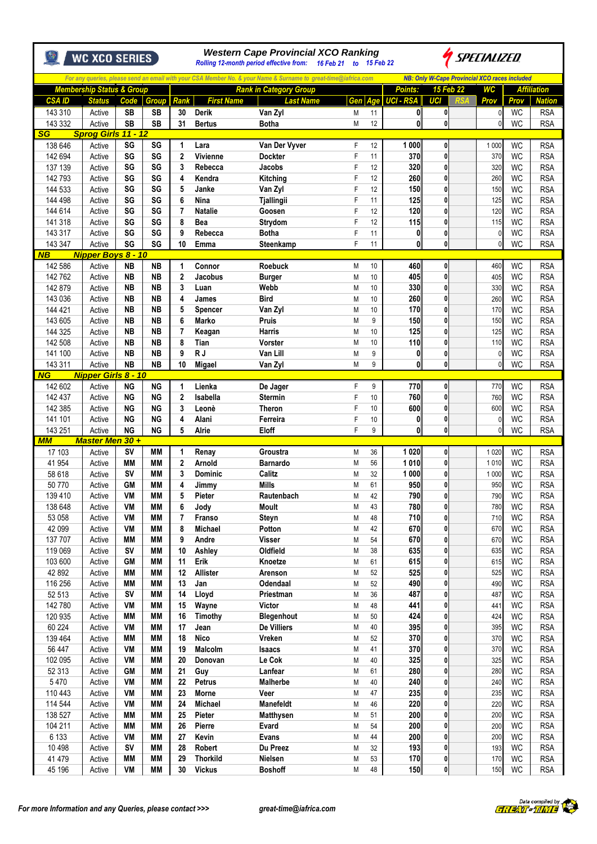|                      | <b>WC XCO SERIES</b>                                  |                        |                        | <b>Western Cape Provincial XCO Ranking</b><br>SPECIALIZED<br>Rolling 12-month period effective from: 16 Feb 21 to 15 Feb 22 |                         |                                                                                                                |        |          |                              |                                                      |  |                                |                        |                                     |
|----------------------|-------------------------------------------------------|------------------------|------------------------|-----------------------------------------------------------------------------------------------------------------------------|-------------------------|----------------------------------------------------------------------------------------------------------------|--------|----------|------------------------------|------------------------------------------------------|--|--------------------------------|------------------------|-------------------------------------|
|                      |                                                       |                        |                        |                                                                                                                             |                         | For any queries, please send an email with your CSA Member No. & your Name & Surname to great-time@iafrica.com |        |          |                              | <b>NB: Only W-Cape Provincial XCO races included</b> |  |                                |                        |                                     |
| <b>CSAID</b>         | <b>Membership Status &amp; Group</b><br><b>Status</b> | Code                   | <b>Group</b>           | <b>Rank</b>                                                                                                                 | <b>First Name</b>       | <b>Rank in Category Group</b><br><b>Last Name</b>                                                              | Gen    |          | Points:<br>Age UCI - RSA     | 15 Feb 22<br>UCI                                     |  | WC<br>Prov                     | Prov                   | <b>Affiliation</b><br><b>Nation</b> |
| 143 310              | Active                                                | <b>SB</b>              | <b>SB</b>              | 30                                                                                                                          | <b>Derik</b>            | Van Zyl                                                                                                        | M      | 11       | 0                            | 0                                                    |  | 0                              | WC                     | <b>RSA</b>                          |
| 143 332              | Active                                                | <b>SB</b>              | <b>SB</b>              | 31                                                                                                                          | <b>Bertus</b>           | <b>Botha</b>                                                                                                   | M      | 12       | 0                            | 0                                                    |  | $\mathcal{C}$                  | <b>WC</b>              | <b>RSA</b>                          |
| <b>SG</b><br>138 646 | Sprog Girls 11 - 12<br>Active                         | SG                     | SG                     | 1                                                                                                                           | Lara                    | Van Der Vyver                                                                                                  | F      | 12       | 1 0 0 0                      | 0                                                    |  | 1 0 0 0                        | <b>WC</b>              | <b>RSA</b>                          |
| 142 694              | Active                                                | SG                     | SG                     | $\mathbf{2}$                                                                                                                | Vivienne                | <b>Dockter</b>                                                                                                 | F      | 11       | 370                          | 0                                                    |  | 370                            | WC                     | <b>RSA</b>                          |
| 137 139              | Active                                                | SG                     | SG                     | 3                                                                                                                           | Rebecca                 | Jacobs                                                                                                         | F      | 12       | 320                          | 0                                                    |  | 320                            | <b>WC</b>              | <b>RSA</b>                          |
| 142 793              | Active                                                | SG                     | SG                     | 4                                                                                                                           | Kendra                  | Kitching                                                                                                       | F      | 12       | 260                          | $\mathbf{0}$                                         |  | 260                            | WC                     | <b>RSA</b>                          |
| 144 533<br>144 498   | Active<br>Active                                      | SG<br>SG               | SG<br>SG               | 5<br>6                                                                                                                      | Janke<br>Nina           | Van Zyl<br><b>Tjallingii</b>                                                                                   | F<br>F | 12<br>11 | 150<br>125                   | $\mathbf{0}$<br>0                                    |  | 150<br>125                     | <b>WC</b><br><b>WC</b> | <b>RSA</b><br><b>RSA</b>            |
| 144 614              | Active                                                | SG                     | SG                     | $\overline{7}$                                                                                                              | <b>Natalie</b>          | Goosen                                                                                                         | F      | 12       | 120                          | 0                                                    |  | 120                            | <b>WC</b>              | <b>RSA</b>                          |
| 141 318              | Active                                                | SG                     | SG                     | 8                                                                                                                           | Bea                     | Strydom                                                                                                        | F      | 12       | 115                          | 0                                                    |  | 115                            | WC                     | <b>RSA</b>                          |
| 143 317              | Active                                                | SG                     | SG                     | 9                                                                                                                           | Rebecca                 | Botha                                                                                                          | F      | 11       | 0                            | 0                                                    |  | $\mathcal{C}$                  | <b>WC</b>              | <b>RSA</b>                          |
| 143 347<br><b>NB</b> | Active<br>Nipper Boys 8 - 10                          | SG                     | SG                     | 10                                                                                                                          | Emma                    | Steenkamp                                                                                                      | F      | 11       | $\mathbf{0}$                 | 0                                                    |  | $\mathcal{C}$                  | <b>WC</b>              | <b>RSA</b>                          |
| 142 586              | Active                                                | <b>NB</b>              | <b>NB</b>              | $\mathbf{1}$                                                                                                                | Connor                  | <b>Roebuck</b>                                                                                                 | M      | 10       | 460                          | 0                                                    |  | 460                            | <b>WC</b>              | <b>RSA</b>                          |
| 142 762              | Active                                                | <b>NB</b>              | <b>NB</b>              | $\mathbf 2$                                                                                                                 | Jacobus                 | <b>Burger</b>                                                                                                  | M      | 10       | 405                          | 0                                                    |  | 405                            | <b>WC</b>              | <b>RSA</b>                          |
| 142 879              | Active                                                | <b>NB</b>              | NΒ                     | 3                                                                                                                           | Luan                    | Webb                                                                                                           | M      | 10       | 330                          | 0                                                    |  | 330                            | <b>WC</b>              | <b>RSA</b>                          |
| 143 036<br>144 421   | Active<br>Active                                      | <b>NB</b><br><b>NB</b> | NΒ<br>NΒ               | 4<br>5                                                                                                                      | James<br>Spencer        | <b>Bird</b><br>Van Zyl                                                                                         | M<br>M | 10<br>10 | 260<br>170                   | $\mathbf{0}$<br>0                                    |  | 260<br>170                     | WC<br><b>WC</b>        | <b>RSA</b><br><b>RSA</b>            |
| 143 605              | Active                                                | <b>NB</b>              | <b>NB</b>              | 6                                                                                                                           | <b>Marko</b>            | <b>Pruis</b>                                                                                                   | M      | 9        | 150                          | 0                                                    |  | 150                            | <b>WC</b>              | <b>RSA</b>                          |
| 144 325              | Active                                                | <b>NB</b>              | NΒ                     | 7                                                                                                                           | Keagan                  | <b>Harris</b>                                                                                                  | M      | 10       | 125                          | 0                                                    |  | 125                            | WC                     | <b>RSA</b>                          |
| 142 508              | Active                                                | <b>NB</b>              | <b>NB</b>              | 8                                                                                                                           | Tian                    | Vorster                                                                                                        | M      | 10       | 110                          | 0                                                    |  | 110                            | WC                     | <b>RSA</b>                          |
| 141 100              | Active                                                | <b>NB</b>              | <b>NB</b>              | 9                                                                                                                           | R J                     | Van Lill                                                                                                       | M      | 9        | 0                            | 0                                                    |  | $\mathcal{C}$                  | <b>WC</b>              | <b>RSA</b>                          |
| 143 311<br>NG        | Active<br><b>Nipper Girls 8 - 10</b>                  | <b>NB</b>              | <b>NB</b>              | 10                                                                                                                          | Migael                  | Van Zyl                                                                                                        | M      | 9        | $\mathbf{0}$                 | 0                                                    |  | $\mathcal{C}$                  | <b>WC</b>              | <b>RSA</b>                          |
| 142 602              | Active                                                | <b>NG</b>              | <b>NG</b>              | 1                                                                                                                           | Lienka                  | De Jager                                                                                                       | F      | 9        | 770                          | 0                                                    |  | 770                            | WC                     | <b>RSA</b>                          |
| 142 437              | Active                                                | <b>NG</b>              | <b>NG</b>              | $\mathbf{2}$                                                                                                                | Isabella                | <b>Stermin</b>                                                                                                 | F      | 10       | 760                          | 0                                                    |  | 760                            | <b>WC</b>              | <b>RSA</b>                          |
| 142 385              | Active                                                | ΝG                     | <b>NG</b>              | 3                                                                                                                           | Leonè                   | <b>Theron</b>                                                                                                  | F      | 10       | 600                          | 0                                                    |  | 600                            | <b>WC</b>              | <b>RSA</b>                          |
| 141 101<br>143 251   | Active<br>Active                                      | <b>NG</b><br><b>NG</b> | <b>NG</b><br><b>NG</b> | 4<br>5                                                                                                                      | Alani<br>Alrie          | Ferreira<br>Eloff                                                                                              | F<br>F | 10<br>9  | $\mathbf{0}$<br>$\mathbf{0}$ | 0<br>0                                               |  | $\mathcal{C}$<br>$\mathcal{C}$ | <b>WC</b><br><b>WC</b> | <b>RSA</b><br><b>RSA</b>            |
| MМ                   | Master Men 30+                                        |                        |                        |                                                                                                                             |                         |                                                                                                                |        |          |                              |                                                      |  |                                |                        |                                     |
| 17 103               | Active                                                | <b>SV</b>              | MМ                     | 1                                                                                                                           | Renay                   | Groustra                                                                                                       | M      | 36       | 1 0 20                       | 0                                                    |  | 1 0 2 0                        | WC                     | <b>RSA</b>                          |
| 41 954               | Active                                                | MМ                     | <b>MM</b>              | $\mathbf{2}$                                                                                                                | Arnold                  | Barnardo                                                                                                       | M      | 56       | 1010                         | 0                                                    |  | 1010                           | WC                     | <b>RSA</b>                          |
| 58 618<br>50770      | Active<br>Active                                      | <b>SV</b><br><b>GM</b> | MМ<br>MМ               | 3<br>4                                                                                                                      | <b>Dominic</b><br>Jimmy | Calitz<br>Mills                                                                                                | M<br>M | 32<br>61 | 1 0 0 0<br>950               | 0<br>0                                               |  | 1 0 0 0<br>950                 | <b>WC</b><br><b>WC</b> | <b>RSA</b><br><b>RSA</b>            |
| 139 410              | Active                                                | VM                     | <b>MM</b>              | 5                                                                                                                           | Pieter                  | Rautenbach                                                                                                     | M      | 42       | 790                          | $\bf{0}$                                             |  | 790                            | <b>WC</b>              | <b>RSA</b>                          |
| 138 648              | Active                                                | VM                     | MМ                     | 6                                                                                                                           | Jody                    | Moult                                                                                                          | M      | 43       | 780                          | 0                                                    |  | 780                            | <b>WC</b>              | <b>RSA</b>                          |
| 53 058               | Active                                                | <b>VM</b>              | MМ                     | $\overline{7}$                                                                                                              | Franso                  | Steyn                                                                                                          | M      | 48       | 710                          | 0                                                    |  | 710                            | <b>WC</b>              | <b>RSA</b>                          |
| 42 099               | Active                                                | VM                     | MМ                     | 8                                                                                                                           | Michael                 | Potton                                                                                                         | M      | 42       | 670                          | 0                                                    |  | 670                            | <b>WC</b>              | <b>RSA</b>                          |
| 137 707<br>119 069   | Active<br>Active                                      | ΜM<br><b>SV</b>        | MМ<br>MМ               | 9<br>10                                                                                                                     | Andre<br>Ashley         | <b>Visser</b><br>Oldfield                                                                                      | M<br>M | 54<br>38 | 670<br>635                   | 0<br>0                                               |  | 670<br>635                     | WC<br><b>WC</b>        | <b>RSA</b><br><b>RSA</b>            |
| 103 600              | Active                                                | <b>GM</b>              | MМ                     | 11                                                                                                                          | Erik                    | Knoetze                                                                                                        | M      | 61       | 615                          | 0                                                    |  | 615                            | <b>WC</b>              | <b>RSA</b>                          |
| 42 892               | Active                                                | MМ                     | MМ                     | 12                                                                                                                          | <b>Allister</b>         | Arenson                                                                                                        | M      | 52       | 525                          | 0                                                    |  | 525                            | <b>WC</b>              | <b>RSA</b>                          |
| 116 256              | Active                                                | MМ                     | MМ                     | 13                                                                                                                          | Jan                     | Odendaal                                                                                                       | M      | 52       | 490                          | 0                                                    |  | 490                            | <b>WC</b>              | <b>RSA</b>                          |
| 52 513<br>142 780    | Active<br>Active                                      | <b>SV</b><br>VM        | MМ<br>MМ               | 14<br>15                                                                                                                    | Lloyd<br>Wayne          | Priestman<br><b>Victor</b>                                                                                     | M<br>M | 36<br>48 | 487<br>441                   | 0<br>0                                               |  | 487<br>441                     | <b>WC</b><br><b>WC</b> | <b>RSA</b><br><b>RSA</b>            |
| 120 935              | Active                                                | <b>MM</b>              | <b>MM</b>              | 16                                                                                                                          | Timothy                 | Blegenhout                                                                                                     | M      | 50       | 424                          | 0                                                    |  | 424                            | <b>WC</b>              | <b>RSA</b>                          |
| 60 224               | Active                                                | VM                     | MМ                     | 17                                                                                                                          | Jean                    | De Villiers                                                                                                    | M      | 40       | 395                          | 0                                                    |  | 395                            | <b>WC</b>              | <b>RSA</b>                          |
| 139 464              | Active                                                | MМ                     | MМ                     | 18                                                                                                                          | <b>Nico</b>             | Vreken                                                                                                         | M      | 52       | 370                          | 0                                                    |  | 370                            | <b>WC</b>              | <b>RSA</b>                          |
| 56 447               | Active                                                | VM                     | MМ                     | 19                                                                                                                          | Malcolm                 | <b>Isaacs</b>                                                                                                  | M      | 41       | 370                          | 0                                                    |  | 370                            | <b>WC</b>              | <b>RSA</b>                          |
| 102 095<br>52 313    | Active<br>Active                                      | VM<br><b>GM</b>        | MМ<br><b>MM</b>        | 20<br>21                                                                                                                    | Donovan<br>Guy          | Le Cok<br>Lanfear                                                                                              | M<br>M | 40<br>61 | 325<br>280                   | 0<br>0                                               |  | 325<br>280                     | <b>WC</b><br><b>WC</b> | <b>RSA</b><br><b>RSA</b>            |
| 5470                 | Active                                                | VM                     | MМ                     | 22                                                                                                                          | Petrus                  | Malherbe                                                                                                       | M      | 40       | 240                          | 0                                                    |  | 240                            | <b>WC</b>              | <b>RSA</b>                          |
| 110 443              | Active                                                | VM                     | MМ                     | 23                                                                                                                          | <b>Morne</b>            | Veer                                                                                                           | M      | 47       | 235                          | 0                                                    |  | 235                            | <b>WC</b>              | <b>RSA</b>                          |
| 114 544              | Active                                                | VM                     | <b>MM</b>              | 24                                                                                                                          | <b>Michael</b>          | <b>Manefeldt</b>                                                                                               | M      | 46       | 220                          | 0                                                    |  | 220                            | <b>WC</b>              | <b>RSA</b>                          |
| 138 527<br>104 211   | Active<br>Active                                      | MМ<br><b>MM</b>        | MМ<br>MМ               | 25<br>26                                                                                                                    | Pieter<br>Pierre        | <b>Matthysen</b><br>Evard                                                                                      | M<br>M | 51<br>54 | 200<br>200                   | 0<br>0                                               |  | 200<br>200                     | <b>WC</b><br>WC        | <b>RSA</b><br><b>RSA</b>            |
| 6 1 3 3              | Active                                                | VM                     | <b>MM</b>              | 27                                                                                                                          | Kevin                   | <b>Evans</b>                                                                                                   | M      | 44       | 200                          | 0                                                    |  | 200                            | <b>WC</b>              | <b>RSA</b>                          |
| 10 4 98              | Active                                                | SV                     | MМ                     | 28                                                                                                                          | Robert                  | Du Preez                                                                                                       | M      | 32       | 193                          | 0                                                    |  | 193                            | <b>WC</b>              | <b>RSA</b>                          |
| 41 479               | Active                                                | MМ                     | MМ                     | 29                                                                                                                          | <b>Thorkild</b>         | Nielsen                                                                                                        | M      | 53       | 170                          | 0                                                    |  | 170                            | <b>WC</b>              | <b>RSA</b>                          |
| 45 196               | Active                                                | VM                     | MМ                     | 30                                                                                                                          | <b>Vickus</b>           | <b>Boshoff</b>                                                                                                 | M      | 48       | 150                          | 0                                                    |  | 150                            | WC                     | <b>RSA</b>                          |